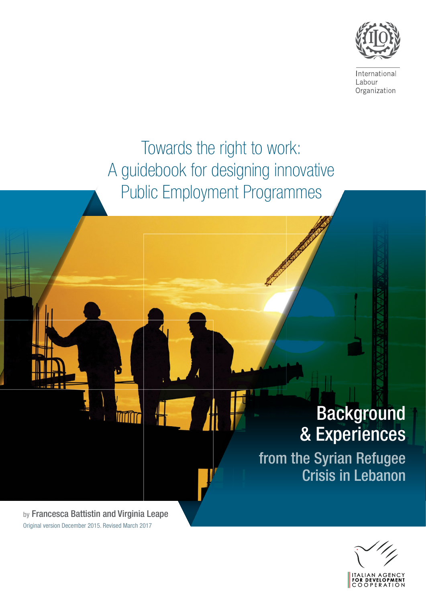

International Labour Organization

# Towards the right to work: A guidebook for designing innovative Public Employment Progra

# Background & Experiences

from the Syrian Refugee Crisis in Lebanon

Original version December 2015. Revised March 2017

by Francesca Battistin and Virginia Leape

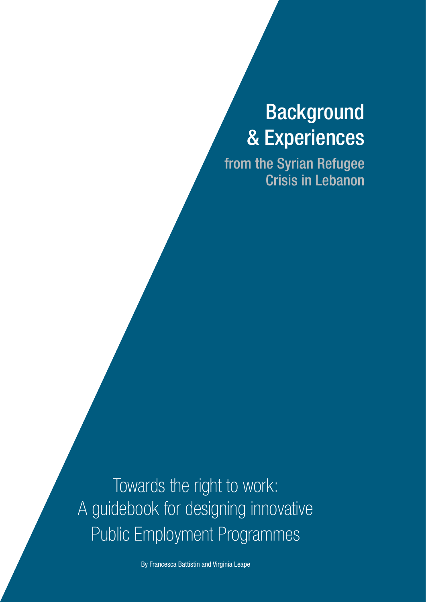# Background & Experiences

from the Syrian Refugee Crisis in Lebanon

Towards the right to work: A guidebook for designing innovative Public Employment Programmes

By Francesca Battistin and Virginia Leape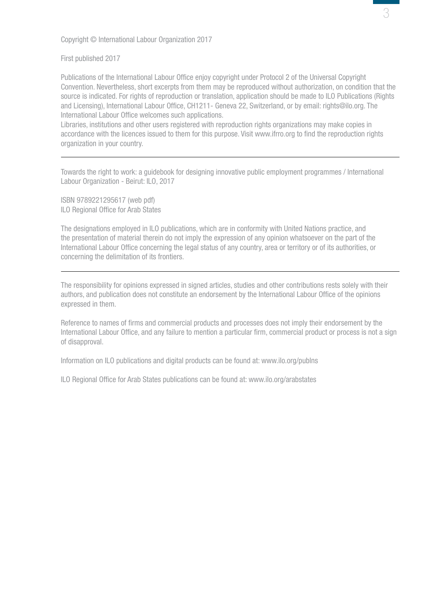Copyright © International Labour Organization 2017

First published 2017

Publications of the International Labour Office enjoy copyright under Protocol 2 of the Universal Copyright Convention. Nevertheless, short excerpts from them may be reproduced without authorization, on condition that the source is indicated. For rights of reproduction or translation, application should be made to ILO Publications (Rights and Licensing), International Labour Office, CH1211- Geneva 22, Switzerland, or by email: rights@ilo.org. The International Labour Office welcomes such applications.

Libraries, institutions and other users registered with reproduction rights organizations may make copies in accordance with the licences issued to them for this purpose. Visit www.ifrro.org to find the reproduction rights organization in your country.

Towards the right to work: a guidebook for designing innovative public employment programmes / International Labour Organization - Beirut: ILO, 2017

ISBN 9789221295617 (web pdf) ILO Regional Office for Arab States

The designations employed in ILO publications, which are in conformity with United Nations practice, and the presentation of material therein do not imply the expression of any opinion whatsoever on the part of the International Labour Office concerning the legal status of any country, area or territory or of its authorities, or concerning the delimitation of its frontiers.

The responsibility for opinions expressed in signed articles, studies and other contributions rests solely with their authors, and publication does not constitute an endorsement by the International Labour Office of the opinions expressed in them.

Reference to names of firms and commercial products and processes does not imply their endorsement by the International Labour Office, and any failure to mention a particular firm, commercial product or process is not a sign of disapproval.

Information on ILO publications and digital products can be found at: www.ilo.org/publns

ILO Regional Office for Arab States publications can be found at: www.ilo.org/arabstates

3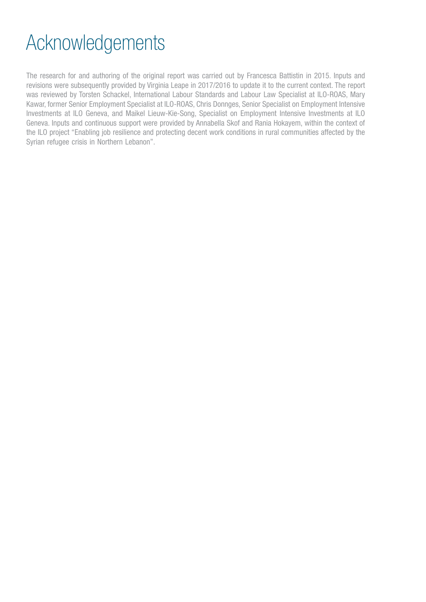# Acknowledgements

The research for and authoring of the original report was carried out by Francesca Battistin in 2015. Inputs and revisions were subsequently provided by Virginia Leape in 2017/2016 to update it to the current context. The report was reviewed by Torsten Schackel, International Labour Standards and Labour Law Specialist at ILO-ROAS, Mary Kawar, former Senior Employment Specialist at ILO-ROAS, Chris Donnges, Senior Specialist on Employment Intensive Investments at ILO Geneva, and Maikel Lieuw-Kie-Song, Specialist on Employment Intensive Investments at ILO Geneva. Inputs and continuous support were provided by Annabella Skof and Rania Hokayem, within the context of the ILO project "Enabling job resilience and protecting decent work conditions in rural communities affected by the Syrian refugee crisis in Northern Lebanon".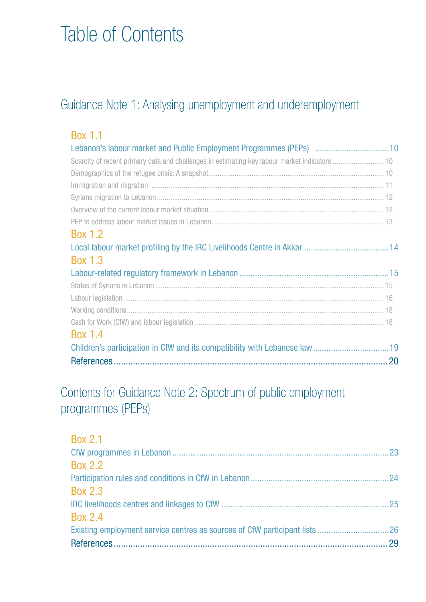# Table of Contents

# [Guidance Note 1: Analysing unemployment and underemployment](#page-9-0)

| <b>Box 1.1</b>                                                     |  |
|--------------------------------------------------------------------|--|
| Lebanon's labour market and Public Employment Programmes (PEPs) 10 |  |
|                                                                    |  |
|                                                                    |  |
|                                                                    |  |
|                                                                    |  |
|                                                                    |  |
|                                                                    |  |
| <b>Box 1.2</b>                                                     |  |
|                                                                    |  |
| <b>Box 1.3</b>                                                     |  |
|                                                                    |  |
|                                                                    |  |
|                                                                    |  |
|                                                                    |  |
|                                                                    |  |
| <b>Box 1.4</b>                                                     |  |
|                                                                    |  |
|                                                                    |  |

# [Contents for Guidance Note 2: Spectrum of public employment](#page-22-0)  [programmes \(PEPs\)](#page-22-0)

| <b>Box 2.1</b> |     |
|----------------|-----|
|                | .23 |
| <b>Box 2.2</b> |     |
|                |     |
| <b>Box 2.3</b> |     |
|                | .25 |
| <b>Box 2.4</b> |     |
|                |     |
|                | 29  |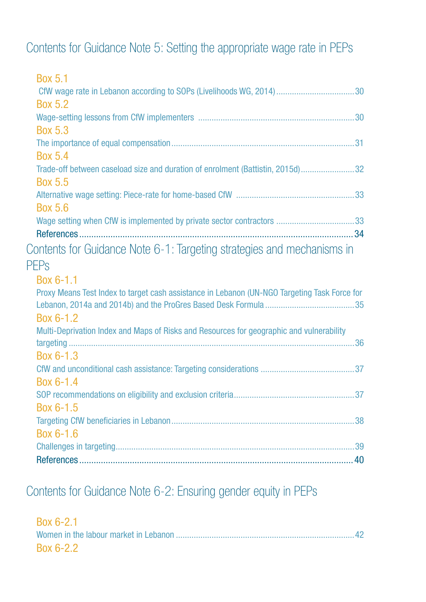# [Contents for Guidance Note 5: Setting the appropriate wage rate in PEPs](#page-29-0)

| <b>Box 5.1</b>                                                                               |  |
|----------------------------------------------------------------------------------------------|--|
|                                                                                              |  |
| <b>Box 5.2</b>                                                                               |  |
|                                                                                              |  |
| <b>Box 5.3</b>                                                                               |  |
|                                                                                              |  |
| <b>Box 5.4</b>                                                                               |  |
| Trade-off between caseload size and duration of enrolment (Battistin, 2015d)32               |  |
| <b>Box 5.5</b>                                                                               |  |
|                                                                                              |  |
| <b>Box 5.6</b>                                                                               |  |
|                                                                                              |  |
|                                                                                              |  |
| Contents for Guidance Note 6-1: Targeting strategies and mechanisms in                       |  |
| PEPs                                                                                         |  |
| Box 6-1.1                                                                                    |  |
| Proxy Means Test Index to target cash assistance in Lebanon (UN-NGO Targeting Task Force for |  |
|                                                                                              |  |
| Box 6-1.2                                                                                    |  |
| Multi-Deprivation Index and Maps of Risks and Resources for geographic and vulnerability     |  |
|                                                                                              |  |
| Box 6-1.3                                                                                    |  |
|                                                                                              |  |
| Box 6-1.4                                                                                    |  |
|                                                                                              |  |
| Box 6-1.5                                                                                    |  |
|                                                                                              |  |
| Box 6-1.6                                                                                    |  |
|                                                                                              |  |
|                                                                                              |  |
|                                                                                              |  |

# [Contents for Guidance Note 6-2: Ensuring gender equity in PEPs](#page-41-0)

| Box 6-2.1 |  |
|-----------|--|
|           |  |
| Box 6-2.2 |  |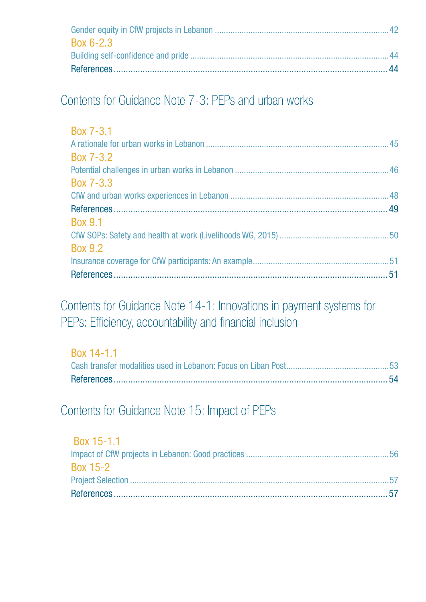| Box 6-2.3 |  |
|-----------|--|
|           |  |
|           |  |

# [Contents for Guidance Note 7-3: PEPs and urban works](#page-44-0)

| Box 7-3.1      |  |
|----------------|--|
|                |  |
| Box 7-3.2      |  |
|                |  |
| Box 7-3.3      |  |
|                |  |
|                |  |
| <b>Box 9.1</b> |  |
|                |  |
| <b>Box 9.2</b> |  |
|                |  |
|                |  |

[Contents for Guidance Note 14-1: Innovations in payment systems for](#page-52-0)  [PEPs: Efficiency, accountability and financial inclusion](#page-52-0)

| Box 14-1.1 |  |
|------------|--|
|            |  |
|            |  |

[Contents for Guidance Note 15: Impact of PEPs](#page-55-0)

| Box 15-1.1      |  |
|-----------------|--|
|                 |  |
| <b>Box 15-2</b> |  |
|                 |  |
|                 |  |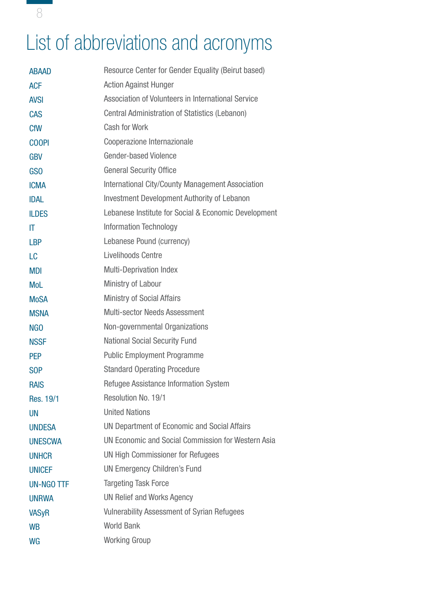# List of abbreviations and acronyms

| <b>ABAAD</b>           | Resource Center for Gender Equality (Beirut based)    |  |  |  |
|------------------------|-------------------------------------------------------|--|--|--|
| <b>ACF</b>             | <b>Action Against Hunger</b>                          |  |  |  |
| <b>AVSI</b>            | Association of Volunteers in International Service    |  |  |  |
| <b>CAS</b>             | <b>Central Administration of Statistics (Lebanon)</b> |  |  |  |
| <b>CfW</b>             | <b>Cash for Work</b>                                  |  |  |  |
| <b>COOPI</b>           | Cooperazione Internazionale                           |  |  |  |
| <b>GBV</b>             | <b>Gender-based Violence</b>                          |  |  |  |
| GS <sub>O</sub>        | <b>General Security Office</b>                        |  |  |  |
| <b>ICMA</b>            | International City/County Management Association      |  |  |  |
| <b>IDAL</b>            | <b>Investment Development Authority of Lebanon</b>    |  |  |  |
| <b>ILDES</b>           | Lebanese Institute for Social & Economic Development  |  |  |  |
| $\mathsf{I}\mathsf{T}$ | <b>Information Technology</b>                         |  |  |  |
| <b>LBP</b>             | Lebanese Pound (currency)                             |  |  |  |
| LC                     | Livelihoods Centre                                    |  |  |  |
| <b>MDI</b>             | <b>Multi-Deprivation Index</b>                        |  |  |  |
| <b>MoL</b>             | Ministry of Labour                                    |  |  |  |
| <b>MoSA</b>            | <b>Ministry of Social Affairs</b>                     |  |  |  |
| <b>MSNA</b>            | <b>Multi-sector Needs Assessment</b>                  |  |  |  |
| <b>NGO</b>             | Non-governmental Organizations                        |  |  |  |
| <b>NSSF</b>            | <b>National Social Security Fund</b>                  |  |  |  |
| <b>PEP</b>             | <b>Public Employment Programme</b>                    |  |  |  |
| S <sub>OP</sub>        | <b>Standard Operating Procedure</b>                   |  |  |  |
| <b>RAIS</b>            | Refugee Assistance Information System                 |  |  |  |
| Res. 19/1              | Resolution No. 19/1                                   |  |  |  |
| <b>UN</b>              | <b>United Nations</b>                                 |  |  |  |
| <b>UNDESA</b>          | UN Department of Economic and Social Affairs          |  |  |  |
| <b>UNESCWA</b>         | UN Economic and Social Commission for Western Asia    |  |  |  |
| <b>UNHCR</b>           | <b>UN High Commissioner for Refugees</b>              |  |  |  |
| <b>UNICEF</b>          | <b>UN Emergency Children's Fund</b>                   |  |  |  |
| UN-NGO TTF             | <b>Targeting Task Force</b>                           |  |  |  |
| <b>UNRWA</b>           | <b>UN Relief and Works Agency</b>                     |  |  |  |
| <b>VASyR</b>           | <b>Vulnerability Assessment of Syrian Refugees</b>    |  |  |  |
| <b>WB</b>              | <b>World Bank</b>                                     |  |  |  |
| WG                     | <b>Working Group</b>                                  |  |  |  |

8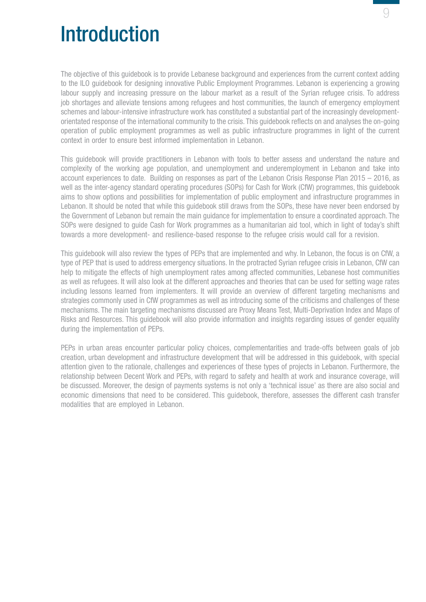

# Introduction

The objective of this guidebook is to provide Lebanese background and experiences from the current context adding to the ILO guidebook for designing innovative Public Employment Programmes. Lebanon is experiencing a growing labour supply and increasing pressure on the labour market as a result of the Syrian refugee crisis. To address job shortages and alleviate tensions among refugees and host communities, the launch of emergency employment schemes and labour-intensive infrastructure work has constituted a substantial part of the increasingly developmentorientated response of the international community to the crisis. This guidebook reflects on and analyses the on-going operation of public employment programmes as well as public infrastructure programmes in light of the current context in order to ensure best informed implementation in Lebanon.

This guidebook will provide practitioners in Lebanon with tools to better assess and understand the nature and complexity of the working age population, and unemployment and underemployment in Lebanon and take into account experiences to date. Building on responses as part of the Lebanon Crisis Response Plan 2015 – 2016, as well as the inter-agency standard operating procedures (SOPs) for Cash for Work (CfW) programmes, this guidebook aims to show options and possibilities for implementation of public employment and infrastructure programmes in Lebanon. It should be noted that while this guidebook still draws from the SOPs, these have never been endorsed by the Government of Lebanon but remain the main guidance for implementation to ensure a coordinated approach. The SOPs were designed to guide Cash for Work programmes as a humanitarian aid tool, which in light of today's shift towards a more development- and resilience-based response to the refugee crisis would call for a revision.

This guidebook will also review the types of PEPs that are implemented and why. In Lebanon, the focus is on CfW, a type of PEP that is used to address emergency situations. In the protracted Syrian refugee crisis in Lebanon, CfW can help to mitigate the effects of high unemployment rates among affected communities, Lebanese host communities as well as refugees. It will also look at the different approaches and theories that can be used for setting wage rates including lessons learned from implementers. It will provide an overview of different targeting mechanisms and strategies commonly used in CfW programmes as well as introducing some of the criticisms and challenges of these mechanisms. The main targeting mechanisms discussed are Proxy Means Test, Multi-Deprivation Index and Maps of Risks and Resources. This guidebook will also provide information and insights regarding issues of gender equality during the implementation of PEPs.

PEPs in urban areas encounter particular policy choices, complementarities and trade-offs between goals of job creation, urban development and infrastructure development that will be addressed in this guidebook, with special attention given to the rationale, challenges and experiences of these types of projects in Lebanon. Furthermore, the relationship between Decent Work and PEPs, with regard to safety and health at work and insurance coverage, will be discussed. Moreover, the design of payments systems is not only a 'technical issue' as there are also social and economic dimensions that need to be considered. This guidebook, therefore, assesses the different cash transfer modalities that are employed in Lebanon.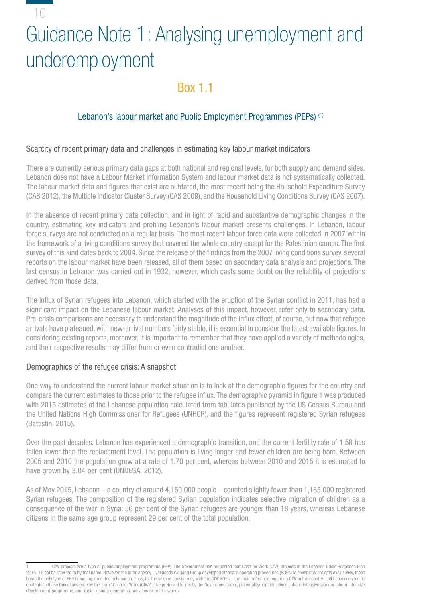## <span id="page-9-0"></span>10

# Guidance Note 1: Analysing unemployment and underemployment

## Box 1.1

## Lebanon's labour market and Public Employment Programmes (PEPs)<sup>(1)</sup>

#### Scarcity of recent primary data and challenges in estimating key labour market indicators

There are currently serious primary data gaps at both national and regional levels, for both supply and demand sides. Lebanon does not have a Labour Market Information System and labour market data is not systematically collected. The labour market data and figures that exist are outdated, the most recent being the Household Expenditure Survey (CAS 2012), the Multiple Indicator Cluster Survey (CAS 2009), and the Household Living Conditions Survey (CAS 2007).

In the absence of recent primary data collection, and in light of rapid and substantive demographic changes in the country, estimating key indicators and profiling Lebanon's labour market presents challenges. In Lebanon, labour force surveys are not conducted on a regular basis. The most recent labour-force data were collected in 2007 within the framework of a living conditions survey that covered the whole country except for the Palestinian camps. The first survey of this kind dates back to 2004. Since the release of the findings from the 2007 living conditions survey, several reports on the labour market have been released, all of them based on secondary data analysis and projections. The last census in Lebanon was carried out in 1932, however, which casts some doubt on the reliability of projections derived from those data.

The influx of Syrian refugees into Lebanon, which started with the eruption of the Syrian conflict in 2011, has had a significant impact on the Lebanese labour market. Analyses of this impact, however, refer only to secondary data. Pre-crisis comparisons are necessary to understand the magnitude of the influx effect, of course, but now that refugee arrivals have plateaued, with new-arrival numbers fairly stable, it is essential to consider the latest available figures. In considering existing reports, moreover, it is important to remember that they have applied a variety of methodologies, and their respective results may differ from or even contradict one another.

#### Demographics of the refugee crisis: A snapshot

One way to understand the current labour market situation is to look at the demographic figures for the country and compare the current estimates to those prior to the refugee influx. The demographic pyramid in figure 1 was produced with 2015 estimates of the Lebanese population calculated from tabulates published by the US Census Bureau and the United Nations High Commissioner for Refugees (UNHCR), and the figures represent registered Syrian refugees (Battistin, 2015).

Over the past decades, Lebanon has experienced a demographic transition, and the current fertility rate of 1.58 has fallen lower than the replacement level. The population is living longer and fewer children are being born. Between 2005 and 2010 the population grew at a rate of 1.70 per cent, whereas between 2010 and 2015 it is estimated to have grown by 3.04 per cent (UNDESA, 2012).

As of May 2015, Lebanon – a country of around 4,150,000 people – counted slightly fewer than 1,185,000 registered Syrian refugees. The composition of the registered Syrian population indicates selective migration of children as a consequence of the war in Syria: 56 per cent of the Syrian refugees are younger than 18 years, whereas Lebanese citizens in the same age group represent 29 per cent of the total population.

<sup>1</sup> CfW projects are a type of public employment programme (PEP). The Government has requested that Cash for Work (CfW) projects in the Lebanon Crisis Response Plan 2015–16 not be referred to by that name. However, the inter-agency Livelihoods Working Group developed standard operating procedures (SOPs) to cover CfW projects exclusively, these being the only type of PEP being implemented in Lebanon. Thus, for the sake of consistency with the CfW SOPs – the main reference regarding CfW in the country – all Lebanon-specific contents in these Guidelines employ the term "Cash for Work (CfW)". The preferred terms by the Government are rapid employment initiatives, labour-intensive work or labour intensive development programme, and rapid-income generating activities or public works.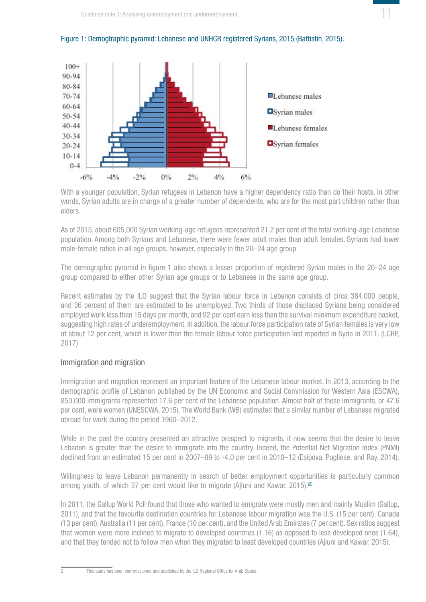

#### <span id="page-10-0"></span>Figure 1: Demogtraphic pyramid: Lebanese and UNHCR registered Syrians, 2015 (Battistin, 2015).

With a younger population, Syrian refugees in Lebanon have a higher dependency ratio than do their hosts. In other words, Syrian adults are in charge of a greater number of dependents, who are for the most part children rather than elders.

As of 2015, about 605,000 Syrian working-age refugees represented 21.2 per cent of the total working-age Lebanese population. Among both Syrians and Lebanese, there were fewer adult males than adult females. Syrians had lower male-female ratios in all age groups, however, especially in the 20–24 age group.

The demographic pyramid in figure 1 also shows a lesser proportion of registered Syrian males in the 20–24 age group compared to either other Syrian age groups or to Lebanese in the same age group.

Recent estimates by the ILO suggest that the Syrian labour force in Lebanon consists of circa 384,000 people, and 36 percent of them are estimated to be unemployed. Two thirds of those displaced Syrians being considered employed work less than 15 days per month, and 92 per cent earn less than the survival minimum expenditure basket, suggesting high rates of underemployment. In addition, the labour force participation rate of Syrian females is very low at about 12 per cent, which is lower than the female labour force participation last reported in Syria in 2011. (LCRP, 2017)

#### Immigration and migration

Immigration and migration represent an important feature of the Lebanese labour market. In 2013, according to the demographic profile of Lebanon published by the UN Economic and Social Commission for Western Asia (ESCWA), 850,000 immigrants represented 17.6 per cent of the Lebanese population. Almost half of these immigrants, or 47.6 per cent, were women (UNESCWA, 2015). The World Bank (WB) estimated that a similar number of Lebanese migrated abroad for work during the period 1960–2012.

While in the past the country presented an attractive prospect to migrants, it now seems that the desire to leave Lebanon is greater than the desire to immigrate into the country. Indeed, the Potential Net Migration Index (PNMI) declined from an estimated 15 per cent in 2007–09 to -4.0 per cent in 2010–12 (Esipova, Pugliese, and Ray, 2014).

Willingness to leave Lebanon permanently in search of better employment opportunities is particularly common among youth, of which 37 per cent would like to migrate (Ajluni and Kawar, 2015).<sup>(2)</sup>

In 2011, the Gallup World Poll found that those who wanted to emigrate were mostly men and mainly Muslim (Gallup, 2011), and that the favourite destination countries for Lebanese labour migration was the U.S. (15 per cent), Canada (13 per cent), Australia (11 per cent), France (10 per cent), and the United Arab Emirates (7 per cent). Sex ratios suggest that women were more inclined to migrate to developed countries (1.16) as opposed to less developed ones (1.64), and that they tended not to follow men when they migrated to least developed countries (Ajluni and Kawar, 2015).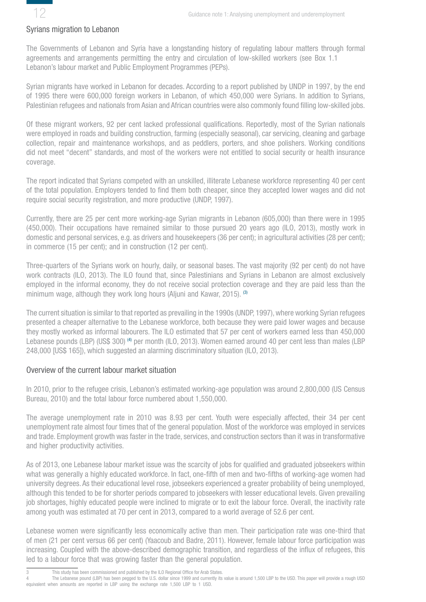<span id="page-11-0"></span>

#### Syrians migration to Lebanon

The Governments of Lebanon and Syria have a longstanding history of regulating labour matters through formal agreements and arrangements permitting the entry and circulation of low-skilled workers (see Box 1.1 Lebanon's labour market and Public Employment Programmes (PEPs).

Syrian migrants have worked in Lebanon for decades. According to a report published by UNDP in 1997, by the end of 1995 there were 600,000 foreign workers in Lebanon, of which 450,000 were Syrians. In addition to Syrians, Palestinian refugees and nationals from Asian and African countries were also commonly found filling low-skilled jobs.

Of these migrant workers, 92 per cent lacked professional qualifications. Reportedly, most of the Syrian nationals were employed in roads and building construction, farming (especially seasonal), car servicing, cleaning and garbage collection, repair and maintenance workshops, and as peddlers, porters, and shoe polishers. Working conditions did not meet "decent" standards, and most of the workers were not entitled to social security or health insurance coverage.

The report indicated that Syrians competed with an unskilled, illiterate Lebanese workforce representing 40 per cent of the total population. Employers tended to find them both cheaper, since they accepted lower wages and did not require social security registration, and more productive (UNDP, 1997).

Currently, there are 25 per cent more working-age Syrian migrants in Lebanon (605,000) than there were in 1995 (450,000). Their occupations have remained similar to those pursued 20 years ago (ILO, 2013), mostly work in domestic and personal services, e.g. as drivers and housekeepers (36 per cent); in agricultural activities (28 per cent); in commerce (15 per cent); and in construction (12 per cent).

Three-quarters of the Syrians work on hourly, daily, or seasonal bases. The vast majority (92 per cent) do not have work contracts (ILO, 2013). The ILO found that, since Palestinians and Syrians in Lebanon are almost exclusively employed in the informal economy, they do not receive social protection coverage and they are paid less than the minimum wage, although they work long hours (Aliuni and Kawar, 2015). (3)

The current situation is similar to that reported as prevailing in the 1990s (UNDP, 1997), where working Syrian refugees presented a cheaper alternative to the Lebanese workforce, both because they were paid lower wages and because they mostly worked as informal labourers. The ILO estimated that 57 per cent of workers earned less than 450,000 Lebanese pounds (LBP) (US\$ 300) (4) per month (ILO, 2013). Women earned around 40 per cent less than males (LBP 248,000 [US\$ 165]), which suggested an alarming discriminatory situation (ILO, 2013).

#### Overview of the current labour market situation

In 2010, prior to the refugee crisis, Lebanon's estimated working-age population was around 2,800,000 (US Census Bureau, 2010) and the total labour force numbered about 1,550,000.

The average unemployment rate in 2010 was 8.93 per cent. Youth were especially affected, their 34 per cent unemployment rate almost four times that of the general population. Most of the workforce was employed in services and trade. Employment growth was faster in the trade, services, and construction sectors than it was in transformative and higher productivity activities.

As of 2013, one Lebanese labour market issue was the scarcity of jobs for qualified and graduated jobseekers within what was generally a highly educated workforce. In fact, one-fifth of men and two-fifths of working-age women had university degrees. As their educational level rose, jobseekers experienced a greater probability of being unemployed, although this tended to be for shorter periods compared to jobseekers with lesser educational levels. Given prevailing job shortages, highly educated people were inclined to migrate or to exit the labour force. Overall, the inactivity rate among youth was estimated at 70 per cent in 2013, compared to a world average of 52.6 per cent.

Lebanese women were significantly less economically active than men. Their participation rate was one-third that of men (21 per cent versus 66 per cent) (Yaacoub and Badre, 2011). However, female labour force participation was increasing. Coupled with the above-described demographic transition, and regardless of the influx of refugees, this led to a labour force that was growing faster than the general population.

This study has been commissioned and published by the ILO Regional Office for Arab States. The Lebanese pound (LBP) has been pegged to the U.S. dollar since 1999 and currently its value is around 1,500 LBP to the USD. This paper will provide a rough USD equivalent when amounts are reported in LBP using the exchange rate 1,500 LBP to 1 USD.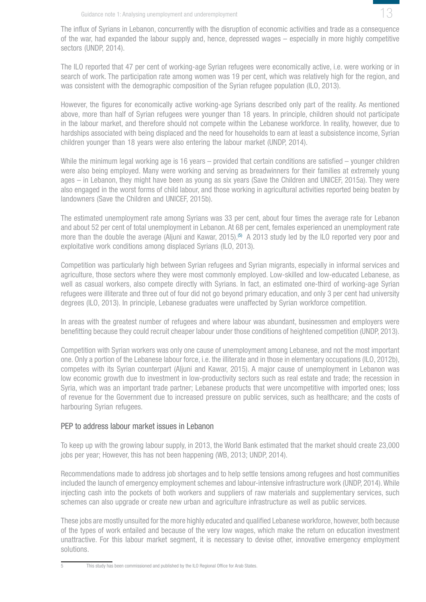

<span id="page-12-0"></span>The influx of Syrians in Lebanon, concurrently with the disruption of economic activities and trade as a consequence of the war, had expanded the labour supply and, hence, depressed wages – especially in more highly competitive sectors (UNDP, 2014).

The ILO reported that 47 per cent of working-age Syrian refugees were economically active, i.e. were working or in search of work. The participation rate among women was 19 per cent, which was relatively high for the region, and was consistent with the demographic composition of the Syrian refugee population (ILO, 2013).

However, the figures for economically active working-age Syrians described only part of the reality. As mentioned above, more than half of Syrian refugees were younger than 18 years. In principle, children should not participate in the labour market, and therefore should not compete within the Lebanese workforce. In reality, however, due to hardships associated with being displaced and the need for households to earn at least a subsistence income, Syrian children younger than 18 years were also entering the labour market (UNDP, 2014).

While the minimum legal working age is 16 years – provided that certain conditions are satisfied – younger children were also being employed. Many were working and serving as breadwinners for their families at extremely young ages – in Lebanon, they might have been as young as six years (Save the Children and UNICEF, 2015a). They were also engaged in the worst forms of child labour, and those working in agricultural activities reported being beaten by landowners (Save the Children and UNICEF, 2015b).

The estimated unemployment rate among Syrians was 33 per cent, about four times the average rate for Lebanon and about 52 per cent of total unemployment in Lebanon. At 68 per cent, females experienced an unemployment rate more than the double the average (Aljuni and Kawar, 2015).<sup>(5)</sup> A 2013 study led by the ILO reported very poor and exploitative work conditions among displaced Syrians (ILO, 2013).

Competition was particularly high between Syrian refugees and Syrian migrants, especially in informal services and agriculture, those sectors where they were most commonly employed. Low-skilled and low-educated Lebanese, as well as casual workers, also compete directly with Syrians. In fact, an estimated one-third of working-age Syrian refugees were illiterate and three out of four did not go beyond primary education, and only 3 per cent had university degrees (ILO, 2013). In principle, Lebanese graduates were unaffected by Syrian workforce competition.

In areas with the greatest number of refugees and where labour was abundant, businessmen and employers were benefitting because they could recruit cheaper labour under those conditions of heightened competition (UNDP, 2013).

Competition with Syrian workers was only one cause of unemployment among Lebanese, and not the most important one. Only a portion of the Lebanese labour force, i.e. the illiterate and in those in elementary occupations (ILO, 2012b), competes with its Syrian counterpart (Aljuni and Kawar, 2015). A major cause of unemployment in Lebanon was low economic growth due to investment in low-productivity sectors such as real estate and trade; the recession in Syria, which was an important trade partner; Lebanese products that were uncompetitive with imported ones; loss of revenue for the Government due to increased pressure on public services, such as healthcare; and the costs of harbouring Syrian refugees.

#### PEP to address labour market issues in Lebanon

To keep up with the growing labour supply, in 2013, the World Bank estimated that the market should create 23,000 jobs per year; However, this has not been happening (WB, 2013; UNDP, 2014).

Recommendations made to address job shortages and to help settle tensions among refugees and host communities included the launch of emergency employment schemes and labour-intensive infrastructure work (UNDP, 2014). While injecting cash into the pockets of both workers and suppliers of raw materials and supplementary services, such schemes can also upgrade or create new urban and agriculture infrastructure as well as public services.

These jobs are mostly unsuited for the more highly educated and qualified Lebanese workforce, however, both because of the types of work entailed and because of the very low wages, which make the return on education investment unattractive. For this labour market segment, it is necessary to devise other, innovative emergency employment solutions.

This study has been commissioned and published by the ILO Regional Office for Arab States.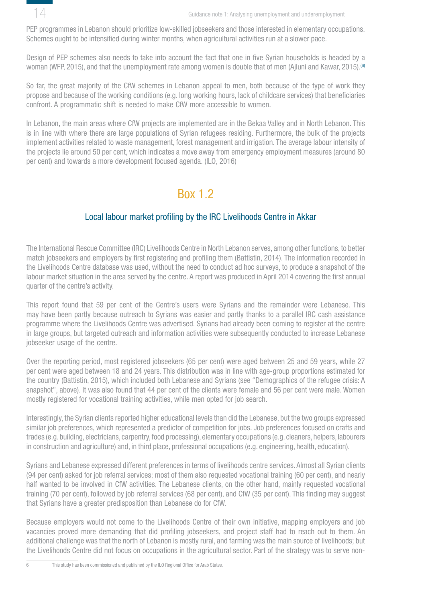<span id="page-13-0"></span>

PEP programmes in Lebanon should prioritize low-skilled jobseekers and those interested in elementary occupations. Schemes ought to be intensified during winter months, when agricultural activities run at a slower pace.

Design of PEP schemes also needs to take into account the fact that one in five Syrian households is headed by a woman (WFP, 2015), and that the unemployment rate among women is double that of men (Ajluni and Kawar, 2015).<sup>(6)</sup>

So far, the great majority of the CfW schemes in Lebanon appeal to men, both because of the type of work they propose and because of the working conditions (e.g. long working hours, lack of childcare services) that beneficiaries confront. A programmatic shift is needed to make CfW more accessible to women.

In Lebanon, the main areas where CfW projects are implemented are in the Bekaa Valley and in North Lebanon. This is in line with where there are large populations of Syrian refugees residing. Furthermore, the bulk of the projects implement activities related to waste management, forest management and irrigation. The average labour intensity of the projects lie around 50 per cent, which indicates a move away from emergency employment measures (around 80 per cent) and towards a more development focused agenda. (ILO, 2016)

## Box 1.2

## Local labour market profiling by the IRC Livelihoods Centre in Akkar

The International Rescue Committee (IRC) Livelihoods Centre in North Lebanon serves, among other functions, to better match jobseekers and employers by first registering and profiling them (Battistin, 2014). The information recorded in the Livelihoods Centre database was used, without the need to conduct ad hoc surveys, to produce a snapshot of the labour market situation in the area served by the centre. A report was produced in April 2014 covering the first annual quarter of the centre's activity.

This report found that 59 per cent of the Centre's users were Syrians and the remainder were Lebanese. This may have been partly because outreach to Syrians was easier and partly thanks to a parallel IRC cash assistance programme where the Livelihoods Centre was advertised. Syrians had already been coming to register at the centre in large groups, but targeted outreach and information activities were subsequently conducted to increase Lebanese jobseeker usage of the centre.

Over the reporting period, most registered jobseekers (65 per cent) were aged between 25 and 59 years, while 27 per cent were aged between 18 and 24 years. This distribution was in line with age-group proportions estimated for the country (Battistin, 2015), which included both Lebanese and Syrians (see "Demographics of the refugee crisis: A snapshot", above). It was also found that 44 per cent of the clients were female and 56 per cent were male. Women mostly registered for vocational training activities, while men opted for job search.

Interestingly, the Syrian clients reported higher educational levels than did the Lebanese, but the two groups expressed similar job preferences, which represented a predictor of competition for jobs. Job preferences focused on crafts and trades (e.g. building, electricians, carpentry, food processing), elementary occupations (e.g. cleaners, helpers, labourers in construction and agriculture) and, in third place, professional occupations (e.g. engineering, health, education).

Syrians and Lebanese expressed different preferences in terms of livelihoods centre services. Almost all Syrian clients (94 per cent) asked for job referral services; most of them also requested vocational training (60 per cent), and nearly half wanted to be involved in CfW activities. The Lebanese clients, on the other hand, mainly requested vocational training (70 per cent), followed by job referral services (68 per cent), and CfW (35 per cent). This finding may suggest that Syrians have a greater predisposition than Lebanese do for CfW.

Because employers would not come to the Livelihoods Centre of their own initiative, mapping employers and job vacancies proved more demanding that did profiling jobseekers, and project staff had to reach out to them. An additional challenge was that the north of Lebanon is mostly rural, and farming was the main source of livelihoods; but the Livelihoods Centre did not focus on occupations in the agricultural sector. Part of the strategy was to serve non-

6 This study has been commissioned and published by the ILO Regional Office for Arab States.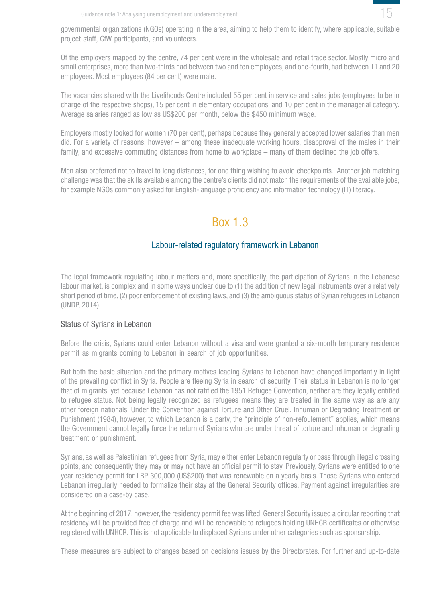

<span id="page-14-0"></span>governmental organizations (NGOs) operating in the area, aiming to help them to identify, where applicable, suitable project staff, CfW participants, and volunteers.

Of the employers mapped by the centre, 74 per cent were in the wholesale and retail trade sector. Mostly micro and small enterprises, more than two-thirds had between two and ten employees, and one-fourth, had between 11 and 20 employees. Most employees (84 per cent) were male.

The vacancies shared with the Livelihoods Centre included 55 per cent in service and sales jobs (employees to be in charge of the respective shops), 15 per cent in elementary occupations, and 10 per cent in the managerial category. Average salaries ranged as low as US\$200 per month, below the \$450 minimum wage.

Employers mostly looked for women (70 per cent), perhaps because they generally accepted lower salaries than men did. For a variety of reasons, however – among these inadequate working hours, disapproval of the males in their family, and excessive commuting distances from home to workplace – many of them declined the job offers.

Men also preferred not to travel to long distances, for one thing wishing to avoid checkpoints. Another job matching challenge was that the skills available among the centre's clients did not match the requirements of the available jobs; for example NGOs commonly asked for English-language proficiency and information technology (IT) literacy.

## Box 1.3

#### Labour-related regulatory framework in Lebanon

The legal framework regulating labour matters and, more specifically, the participation of Syrians in the Lebanese labour market, is complex and in some ways unclear due to (1) the addition of new legal instruments over a relatively short period of time, (2) poor enforcement of existing laws, and (3) the ambiguous status of Syrian refugees in Lebanon (UNDP, 2014).

#### Status of Syrians in Lebanon

Before the crisis, Syrians could enter Lebanon without a visa and were granted a six-month temporary residence permit as migrants coming to Lebanon in search of job opportunities.

But both the basic situation and the primary motives leading Syrians to Lebanon have changed importantly in light of the prevailing conflict in Syria. People are fleeing Syria in search of security. Their status in Lebanon is no longer that of migrants, yet because Lebanon has not ratified the 1951 Refugee Convention, neither are they legally entitled to refugee status. Not being legally recognized as refugees means they are treated in the same way as are any other foreign nationals. Under the Convention against Torture and Other Cruel, Inhuman or Degrading Treatment or Punishment (1984), however, to which Lebanon is a party, the "principle of non-refoulement" applies, which means the Government cannot legally force the return of Syrians who are under threat of torture and inhuman or degrading treatment or punishment.

Syrians, as well as Palestinian refugees from Syria, may either enter Lebanon regularly or pass through illegal crossing points, and consequently they may or may not have an official permit to stay. Previously, Syrians were entitled to one year residency permit for LBP 300,000 (US\$200) that was renewable on a yearly basis. Those Syrians who entered Lebanon irregularly needed to formalize their stay at the General Security offices. Payment against irregularities are considered on a case-by case.

At the beginning of 2017, however, the residency permit fee was lifted. General Security issued a circular reporting that residency will be provided free of charge and will be renewable to refugees holding UNHCR certificates or otherwise registered with UNHCR. This is not applicable to displaced Syrians under other categories such as sponsorship.

These measures are subject to changes based on decisions issues by the Directorates. For further and up-to-date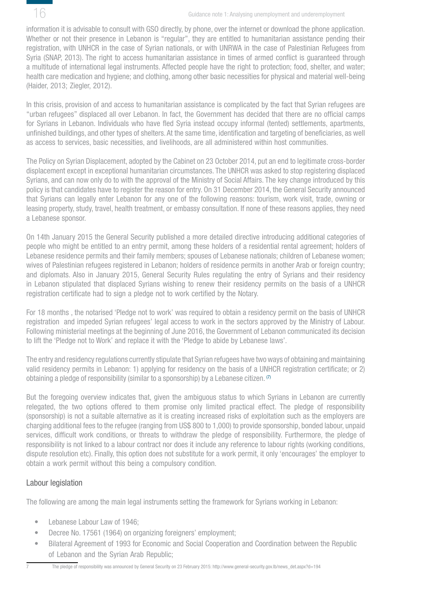<span id="page-15-0"></span>

information it is advisable to consult with GSO directly, by phone, over the internet or download the phone application. Whether or not their presence in Lebanon is "regular", they are entitled to humanitarian assistance pending their registration, with UNHCR in the case of Syrian nationals, or with UNRWA in the case of Palestinian Refugees from Syria (SNAP, 2013). The right to access humanitarian assistance in times of armed conflict is guaranteed through a multitude of international legal instruments. Affected people have the right to protection; food, shelter, and water; health care medication and hygiene; and clothing, among other basic necessities for physical and material well-being (Haider, 2013; Ziegler, 2012).

In this crisis, provision of and access to humanitarian assistance is complicated by the fact that Syrian refugees are "urban refugees" displaced all over Lebanon. In fact, the Government has decided that there are no official camps for Syrians in Lebanon. Individuals who have fled Syria instead occupy informal (tented) settlements, apartments, unfinished buildings, and other types of shelters. At the same time, identification and targeting of beneficiaries, as well as access to services, basic necessities, and livelihoods, are all administered within host communities.

The Policy on Syrian Displacement, adopted by the Cabinet on 23 October 2014, put an end to legitimate cross-border displacement except in exceptional humanitarian circumstances. The UNHCR was asked to stop registering displaced Syrians, and can now only do to with the approval of the Ministry of Social Affairs. The key change introduced by this policy is that candidates have to register the reason for entry. On 31 December 2014, the General Security announced that Syrians can legally enter Lebanon for any one of the following reasons: tourism, work visit, trade, owning or leasing property, study, travel, health treatment, or embassy consultation. If none of these reasons applies, they need a Lebanese sponsor.

On 14th January 2015 the General Security published a more detailed directive introducing additional categories of people who might be entitled to an entry permit, among these holders of a residential rental agreement; holders of Lebanese residence permits and their family members; spouses of Lebanese nationals; children of Lebanese women; wives of Palestinian refugees registered in Lebanon; holders of residence permits in another Arab or foreign country; and diplomats. Also in January 2015, General Security Rules regulating the entry of Syrians and their residency in Lebanon stipulated that displaced Syrians wishing to renew their residency permits on the basis of a UNHCR registration certificate had to sign a pledge not to work certified by the Notary.

For 18 months , the notarised 'Pledge not to work' was required to obtain a residency permit on the basis of UNHCR registration and impeded Syrian refugees' legal access to work in the sectors approved by the Ministry of Labour. Following ministerial meetings at the beginning of June 2016, the Government of Lebanon communicated its decision to lift the 'Pledge not to Work' and replace it with the 'Pledge to abide by Lebanese laws'.

The entry and residency regulations currently stipulate that Syrian refugees have two ways of obtaining and maintaining valid residency permits in Lebanon: 1) applying for residency on the basis of a UNHCR registration certificate; or 2) obtaining a pledge of responsibility (similar to a sponsorship) by a Lebanese citizen. <sup>(7)</sup>

But the foregoing overview indicates that, given the ambiguous status to which Syrians in Lebanon are currently relegated, the two options offered to them promise only limited practical effect. The pledge of responsibility (sponsorship) is not a suitable alternative as it is creating increased risks of exploitation such as the employers are charging additional fees to the refugee (ranging from US\$ 800 to 1,000) to provide sponsorship, bonded labour, unpaid services, difficult work conditions, or threats to withdraw the pledge of responsibility. Furthermore, the pledge of responsibility is not linked to a labour contract nor does it include any reference to labour rights (working conditions, dispute resolution etc). Finally, this option does not substitute for a work permit, it only 'encourages' the employer to obtain a work permit without this being a compulsory condition.

## Labour legislation

The following are among the main legal instruments setting the framework for Syrians working in Lebanon:

- Lebanese Labour Law of 1946:
- Decree No. 17561 (1964) on organizing foreigners' employment;
- Bilateral Agreement of 1993 for Economic and Social Cooperation and Coordination between the Republic of Lebanon and the Syrian Arab Republic;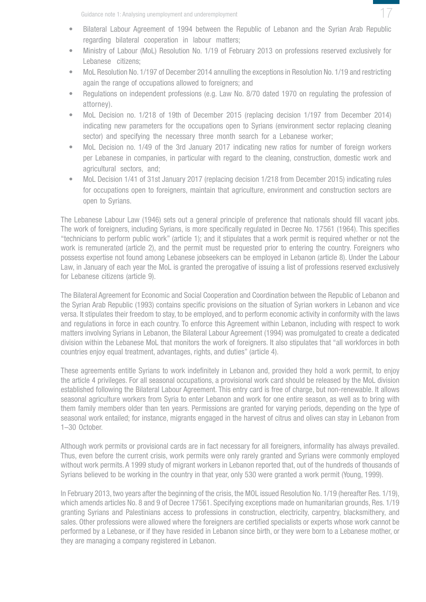

- Bilateral Labour Agreement of 1994 between the Republic of Lebanon and the Syrian Arab Republic regarding bilateral cooperation in labour matters;
- Ministry of Labour (MoL) Resolution No. 1/19 of February 2013 on professions reserved exclusively for Lebanese citizens;
- MoL Resolution No. 1/197 of December 2014 annulling the exceptions in Resolution No. 1/19 and restricting again the range of occupations allowed to foreigners; and
- Regulations on independent professions (e.g. Law No. 8/70 dated 1970 on regulating the profession of attorney).
- MoL Decision no. 1/218 of 19th of December 2015 (replacing decision 1/197 from December 2014) indicating new parameters for the occupations open to Syrians (environment sector replacing cleaning sector) and specifying the necessary three month search for a Lebanese worker;
- MoL Decision no. 1/49 of the 3rd January 2017 indicating new ratios for number of foreign workers per Lebanese in companies, in particular with regard to the cleaning, construction, domestic work and agricultural sectors, and;
- MoL Decision 1/41 of 31st January 2017 (replacing decision 1/218 from December 2015) indicating rules for occupations open to foreigners, maintain that agriculture, environment and construction sectors are open to Syrians.

The Lebanese Labour Law (1946) sets out a general principle of preference that nationals should fill vacant jobs. The work of foreigners, including Syrians, is more specifically regulated in Decree No. 17561 (1964). This specifies "technicians to perform public work" (article 1); and it stipulates that a work permit is required whether or not the work is remunerated (article 2), and the permit must be requested prior to entering the country. Foreigners who possess expertise not found among Lebanese jobseekers can be employed in Lebanon (article 8). Under the Labour Law, in January of each year the MoL is granted the prerogative of issuing a list of professions reserved exclusively for Lebanese citizens (article 9).

The Bilateral Agreement for Economic and Social Cooperation and Coordination between the Republic of Lebanon and the Syrian Arab Republic (1993) contains specific provisions on the situation of Syrian workers in Lebanon and vice versa. It stipulates their freedom to stay, to be employed, and to perform economic activity in conformity with the laws and regulations in force in each country. To enforce this Agreement within Lebanon, including with respect to work matters involving Syrians in Lebanon, the Bilateral Labour Agreement (1994) was promulgated to create a dedicated division within the Lebanese MoL that monitors the work of foreigners. It also stipulates that "all workforces in both countries enjoy equal treatment, advantages, rights, and duties" (article 4).

These agreements entitle Syrians to work indefinitely in Lebanon and, provided they hold a work permit, to enjoy the article 4 privileges. For all seasonal occupations, a provisional work card should be released by the MoL division established following the Bilateral Labour Agreement. This entry card is free of charge, but non-renewable. It allows seasonal agriculture workers from Syria to enter Lebanon and work for one entire season, as well as to bring with them family members older than ten years. Permissions are granted for varying periods, depending on the type of seasonal work entailed; for instance, migrants engaged in the harvest of citrus and olives can stay in Lebanon from 1–30 October.

Although work permits or provisional cards are in fact necessary for all foreigners, informality has always prevailed. Thus, even before the current crisis, work permits were only rarely granted and Syrians were commonly employed without work permits. A 1999 study of migrant workers in Lebanon reported that, out of the hundreds of thousands of Syrians believed to be working in the country in that year, only 530 were granted a work permit (Young, 1999).

In February 2013, two years after the beginning of the crisis, the MOL issued Resolution No. 1/19 (hereafter Res. 1/19), which amends articles No. 8 and 9 of Decree 17561. Specifying exceptions made on humanitarian grounds, Res. 1/19 granting Syrians and Palestinians access to professions in construction, electricity, carpentry, blacksmithery, and sales. Other professions were allowed where the foreigners are certified specialists or experts whose work cannot be performed by a Lebanese, or if they have resided in Lebanon since birth, or they were born to a Lebanese mother, or they are managing a company registered in Lebanon.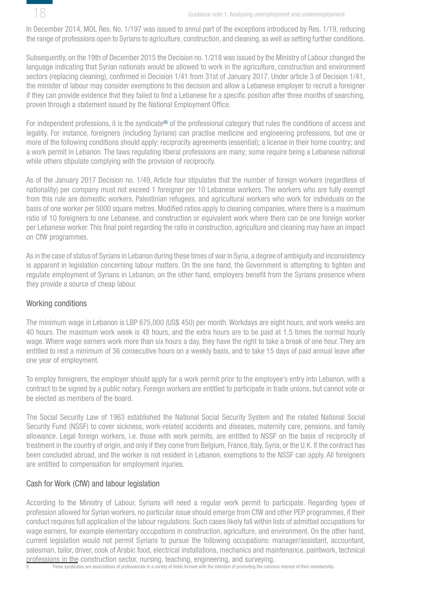<span id="page-17-0"></span>

In December 2014, MOL Res. No. 1/197 was issued to annul part of the exceptions introduced by Res. 1/19, reducing the range of professions open to Syrians to agriculture, construction, and cleaning, as well as setting further conditions.

Subsequently, on the 19th of December 2015 the Decision no. 1/218 was issued by the Ministry of Labour changed the language indicating that Syrian nationals would be allowed to work in the agriculture, construction and environment sectors (replacing cleaning), confirmed in Decision 1/41 from 31st of January 2017. Under article 3 of Decision 1/41, the minister of labour may consider exemptions to this decision and allow a Lebanese employer to recruit a foreigner if they can provide evidence that they failed to find a Lebanese for a specific position after three months of searching, proven through a statement issued by the National Employment Office.

For independent professions, it is the syndicate<sup>(8)</sup> of the professional category that rules the conditions of access and legality. For instance, foreigners (including Syrians) can practise medicine and engineering professions, but one or more of the following conditions should apply: reciprocity agreements (essential); a license in their home country; and a work permit in Lebanon. The laws regulating liberal professions are many; some require being a Lebanese national while others stipulate complying with the provision of reciprocity.

As of the January 2017 Decision no. 1/49, Article four stipulates that the number of foreign workers (regardless of nationality) per company must not exceed 1 foreigner per 10 Lebanese workers. The workers who are fully exempt from this rule are domestic workers, Palestinian refugees, and agricultural workers who work for individuals on the basis of one worker per 5000 square metres. Modified ratios apply to cleaning companies, where there is a maximum ratio of 10 foreigners to one Lebanese, and construction or equivalent work where there can be one foreign worker per Lebanese worker. This final point regarding the ratio in construction, agriculture and cleaning may have an impact on CfW programmes.

As in the case of status of Syrians in Lebanon during these times of war in Syria, a degree of ambiguity and inconsistency is apparent in legislation concerning labour matters. On the one hand, the Government is attempting to tighten and regulate employment of Syrians in Lebanon; on the other hand, employers benefit from the Syrians presence where they provide a source of cheap labour.

#### Working conditions

The minimum wage in Lebanon is LBP 675,000 (US\$ 450) per month. Workdays are eight hours, and work weeks are 40 hours. The maximum work week is 48 hours, and the extra hours are to be paid at 1.5 times the normal hourly wage. Where wage earners work more than six hours a day, they have the right to take a break of one hour. They are entitled to rest a minimum of 36 consecutive hours on a weekly basis, and to take 15 days of paid annual leave after one year of employment.

To employ foreigners, the employer should apply for a work permit prior to the employee's entry into Lebanon, with a contract to be signed by a public notary. Foreign workers are entitled to participate in trade unions, but cannot vote or be elected as members of the board.

The Social Security Law of 1963 established the National Social Security System and the related National Social Security Fund (NSSF) to cover sickness, work-related accidents and diseases, maternity care, pensions, and family allowance. Legal foreign workers, i.e. those with work permits, are entitled to NSSF on the basis of reciprocity of treatment in the country of origin, and only if they come from Belgium, France, Italy, Syria, or the U.K. If the contract has been concluded abroad, and the worker is not resident in Lebanon, exemptions to the NSSF can apply. All foreigners are entitled to compensation for employment injuries.

#### Cash for Work (CfW) and labour legislation

According to the Ministry of Labour, Syrians will need a regular work permit to participate. Regarding types of profession allowed for Syrian workers, no particular issue should emerge from CfW and other PEP programmes, if their conduct requires full application of the labour regulations. Such cases likely fall within lists of admitted occupations for wage earners, for example elementary occupations in construction, agriculture, and environment. On the other hand, current legislation would not permit Syrians to pursue the following occupations: manager/assistant, accountant, salesman, tailor, driver, cook of Arabic food, electrical installations, mechanics and maintenance, paintwork, technical professions in the construction sector, nursing, teaching, engineering, and surveying.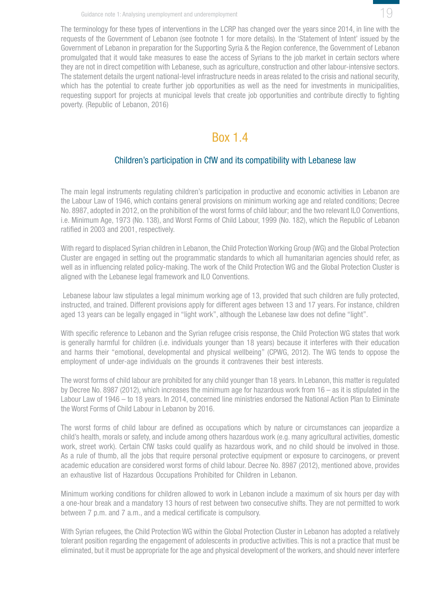

<span id="page-18-0"></span>The terminology for these types of interventions in the LCRP has changed over the years since 2014, in line with the requests of the Government of Lebanon (see footnote 1 for more details). In the 'Statement of Intent' issued by the Government of Lebanon in preparation for the Supporting Syria & the Region conference, the Government of Lebanon promulgated that it would take measures to ease the access of Syrians to the job market in certain sectors where they are not in direct competition with Lebanese, such as agriculture, construction and other labour-intensive sectors. The statement details the urgent national-level infrastructure needs in areas related to the crisis and national security, which has the potential to create further job opportunities as well as the need for investments in municipalities, requesting support for projects at municipal levels that create job opportunities and contribute directly to fighting poverty. (Republic of Lebanon, 2016)

## Box 1.4

### Children's participation in CfW and its compatibility with Lebanese law

The main legal instruments regulating children's participation in productive and economic activities in Lebanon are the Labour Law of 1946, which contains general provisions on minimum working age and related conditions; Decree No. 8987, adopted in 2012, on the prohibition of the worst forms of child labour; and the two relevant ILO Conventions, i.e. Minimum Age, 1973 (No. 138), and Worst Forms of Child Labour, 1999 (No. 182), which the Republic of Lebanon ratified in 2003 and 2001, respectively.

With regard to displaced Syrian children in Lebanon, the Child Protection Working Group (WG) and the Global Protection Cluster are engaged in setting out the programmatic standards to which all humanitarian agencies should refer, as well as in influencing related policy-making. The work of the Child Protection WG and the Global Protection Cluster is aligned with the Lebanese legal framework and ILO Conventions.

 Lebanese labour law stipulates a legal minimum working age of 13, provided that such children are fully protected, instructed, and trained. Different provisions apply for different ages between 13 and 17 years. For instance, children aged 13 years can be legally engaged in "light work", although the Lebanese law does not define "light".

With specific reference to Lebanon and the Syrian refugee crisis response, the Child Protection WG states that work is generally harmful for children (i.e. individuals younger than 18 years) because it interferes with their education and harms their "emotional, developmental and physical wellbeing" (CPWG, 2012). The WG tends to oppose the employment of under-age individuals on the grounds it contravenes their best interests.

The worst forms of child labour are prohibited for any child younger than 18 years. In Lebanon, this matter is regulated by Decree No. 8987 (2012), which increases the minimum age for hazardous work from 16 – as it is stipulated in the Labour Law of 1946 – to 18 years. In 2014, concerned line ministries endorsed the National Action Plan to Eliminate the Worst Forms of Child Labour in Lebanon by 2016.

The worst forms of child labour are defined as occupations which by nature or circumstances can jeopardize a child's health, morals or safety, and include among others hazardous work (e.g. many agricultural activities, domestic work, street work). Certain CfW tasks could qualify as hazardous work, and no child should be involved in those. As a rule of thumb, all the jobs that require personal protective equipment or exposure to carcinogens, or prevent academic education are considered worst forms of child labour. Decree No. 8987 (2012), mentioned above, provides an exhaustive list of Hazardous Occupations Prohibited for Children in Lebanon.

Minimum working conditions for children allowed to work in Lebanon include a maximum of six hours per day with a one-hour break and a mandatory 13 hours of rest between two consecutive shifts. They are not permitted to work between 7 p.m. and 7 a.m., and a medical certificate is compulsory.

With Syrian refugees, the Child Protection WG within the Global Protection Cluster in Lebanon has adopted a relatively tolerant position regarding the engagement of adolescents in productive activities. This is not a practice that must be eliminated, but it must be appropriate for the age and physical development of the workers, and should never interfere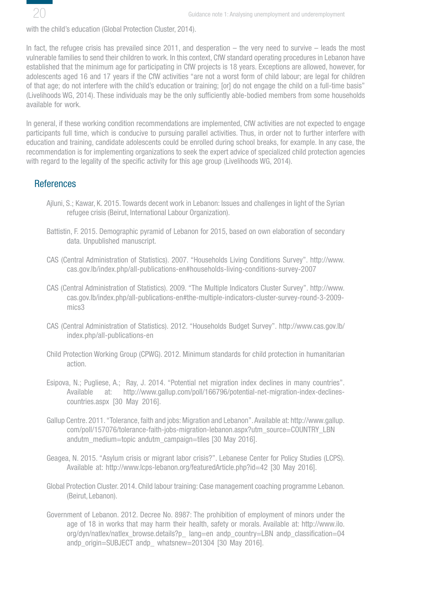<span id="page-19-0"></span>

with the child's education (Global Protection Cluster, 2014).

In fact, the refugee crisis has prevailed since 2011, and desperation – the very need to survive – leads the most vulnerable families to send their children to work. In this context, CfW standard operating procedures in Lebanon have established that the minimum age for participating in CfW projects is 18 years. Exceptions are allowed, however, for adolescents aged 16 and 17 years if the CfW activities "are not a worst form of child labour; are legal for children of that age; do not interfere with the child's education or training; [or] do not engage the child on a full-time basis" (Livelihoods WG, 2014). These individuals may be the only sufficiently able-bodied members from some households available for work.

In general, if these working condition recommendations are implemented, CfW activities are not expected to engage participants full time, which is conducive to pursuing parallel activities. Thus, in order not to further interfere with education and training, candidate adolescents could be enrolled during school breaks, for example. In any case, the recommendation is for implementing organizations to seek the expert advice of specialized child protection agencies with regard to the legality of the specific activity for this age group (Livelihoods WG, 2014).

### **References**

- Ajluni, S.; Kawar, K. 2015. Towards decent work in Lebanon: Issues and challenges in light of the Syrian refugee crisis (Beirut, International Labour Organization).
- Battistin, F. 2015. Demographic pyramid of Lebanon for 2015, based on own elaboration of secondary data. Unpublished manuscript.
- CAS (Central Administration of Statistics). 2007. "Households Living Conditions Survey". http://www. cas.gov.lb/index.php/all-publications-en#households-living-conditions-survey-2007
- CAS (Central Administration of Statistics). 2009. "The Multiple Indicators Cluster Survey". http://www. cas.gov.lb/index.php/all-publications-en#the-multiple-indicators-cluster-survey-round-3-2009 mics3
- CAS (Central Administration of Statistics). 2012. "Households Budget Survey". http://www.cas.gov.lb/ index.php/all-publications-en
- Child Protection Working Group (CPWG). 2012. Minimum standards for child protection in humanitarian action.
- Esipova, N.; Pugliese, A.; Ray, J. 2014. "Potential net migration index declines in many countries". Available at: http://www.gallup.com/poll/166796/potential-net-migration-index-declinescountries.aspx [30 May 2016].
- Gallup Centre. 2011. "Tolerance, faith and jobs: Migration and Lebanon". Available at: http://www.gallup. com/poll/157076/tolerance-faith-jobs-migration-lebanon.aspx?utm\_source=COUNTRY\_LBN andutm\_medium=topic andutm\_campaign=tiles [30 May 2016].
- Geagea, N. 2015. "Asylum crisis or migrant labor crisis?". Lebanese Center for Policy Studies (LCPS). Available at: http://www.lcps-lebanon.org/featuredArticle.php?id=42 [30 May 2016].
- Global Protection Cluster. 2014. Child labour training: Case management coaching programme Lebanon. (Beirut, Lebanon).
- Government of Lebanon. 2012. Decree No. 8987: The prohibition of employment of minors under the age of 18 in works that may harm their health, safety or morals. Available at: http://www.ilo. org/dyn/natlex/natlex\_browse.details?p\_ lang=en andp\_country=LBN andp\_classification=04 andp\_origin=SUBJECT andp\_ whatsnew=201304 [30 May 2016].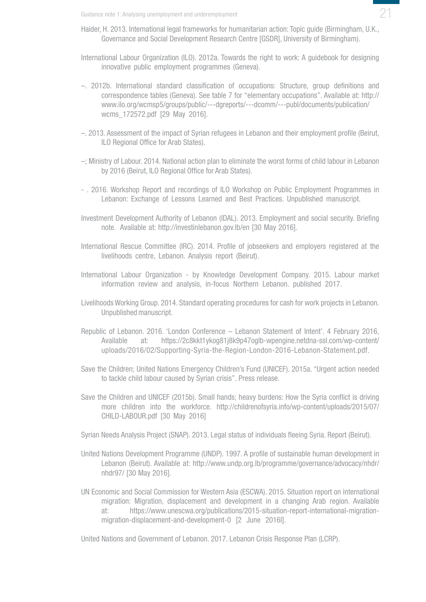- Haider, H. 2013. International legal frameworks for humanitarian action: Topic guide (Birmingham, U.K., Governance and Social Development Research Centre [GSDR], University of Birmingham).
- International Labour Organization (ILO). 2012a. Towards the right to work: A guidebook for designing innovative public employment programmes (Geneva).
- –. 2012b. International standard classification of occupations: Structure, group definitions and correspondence tables (Geneva). See table 7 for "elementary occupations". Available at: http:// www.ilo.org/wcmsp5/groups/public/---dgreports/---dcomm/---publ/documents/publication/ wcms\_172572.pdf [29 May 2016].
- –. 2013. Assessment of the impact of Syrian refugees in Lebanon and their employment profile (Beirut, ILO Regional Office for Arab States).
- –; Ministry of Labour. 2014. National action plan to eliminate the worst forms of child labour in Lebanon by 2016 (Beirut, ILO Regional Office for Arab States).
- . 2016. Workshop Report and recordings of ILO Workshop on Public Employment Programmes in Lebanon: Exchange of Lessons Learned and Best Practices. Unpublished manuscript.
- Investment Development Authority of Lebanon (IDAL). 2013. Employment and social security. Briefing note. Available at: http://investinlebanon.gov.lb/en [30 May 2016].
- International Rescue Committee (IRC). 2014. Profile of jobseekers and employers registered at the livelihoods centre, Lebanon. Analysis report (Beirut).
- International Labour Organization by Knowledge Development Company. 2015. Labour market information review and analysis, in-focus Northern Lebanon. published 2017.
- Livelihoods Working Group. 2014. Standard operating procedures for cash for work projects in Lebanon. Unpublished manuscript.
- Republic of Lebanon. 2016. 'London Conference Lebanon Statement of Intent'. 4 February 2016, Available at: https://2c8kkt1ykog81j8k9p47oglb-wpengine.netdna-ssl.com/wp-content/ uploads/2016/02/Supporting-Syria-the-Region-London-2016-Lebanon-Statement.pdf.
- Save the Children; United Nations Emergency Children's Fund (UNICEF). 2015a. "Urgent action needed to tackle child labour caused by Syrian crisis". Press release.
- Save the Children and UNICEF (2015b). Small hands; heavy burdens: How the Syria conflict is driving more children into the workforce. http://childrenofsyria.info/wp-content/uploads/2015/07/ CHILD-LABOUR.pdf [30 May 2016]
- Syrian Needs Analysis Project (SNAP). 2013. Legal status of individuals fleeing Syria. Report (Beirut).
- United Nations Development Programme (UNDP). 1997. A profile of sustainable human development in Lebanon (Beirut). Available at: http://www.undp.org.lb/programme/governance/advocacy/nhdr/ nhdr97/ [30 May 2016].
- UN Economic and Social Commission for Western Asia (ESCWA). 2015. Situation report on international migration: Migration, displacement and development in a changing Arab region. Available at: https://www.unescwa.org/publications/2015-situation-report-international-migrationmigration-displacement-and-development-0 [2 June 2016l].

United Nations and Government of Lebanon. 2017. Lebanon Crisis Response Plan (LCRP).

21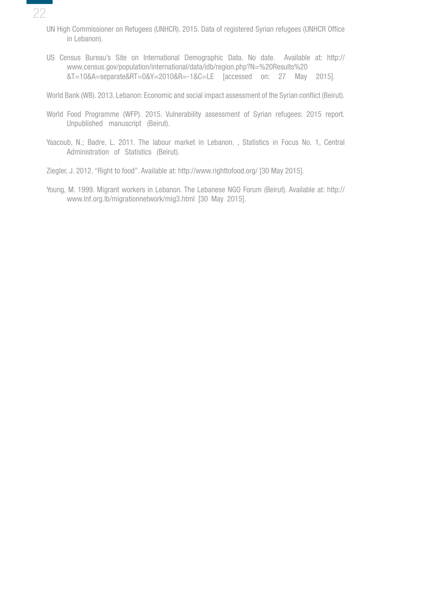- 22
	- UN High Commissioner on Refugees (UNHCR). 2015. Data of registered Syrian refugees (UNHCR Office in Lebanon).
	- US Census Bureau's Site on International Demographic Data. No date. Available at: http:// www.census.gov/population/international/data/idb/region.php?N=%20Results%20 &T=10&A=separate&RT=0&Y=2010&R=-1&C=LE [accessed on: 27 May 2015].

World Bank (WB). 2013. Lebanon: Economic and social impact assessment of the Syrian conflict (Beirut).

- World Food Programme (WFP). 2015. Vulnerability assessment of Syrian refugees: 2015 report. Unpublished manuscript (Beirut).
- Yaacoub, N.; Badre, L. 2011. The labour market in Lebanon. , Statistics in Focus No. 1, Central Administration of Statistics (Beirut).

Ziegler, J. 2012. "Right to food". Available at: http://www.righttofood.org/ [30 May 2015].

Young, M. 1999. Migrant workers in Lebanon. The Lebanese NGO Forum (Beirut). Available at: http:// www.lnf.org.lb/migrationnetwork/mig3.html [30 May 2015].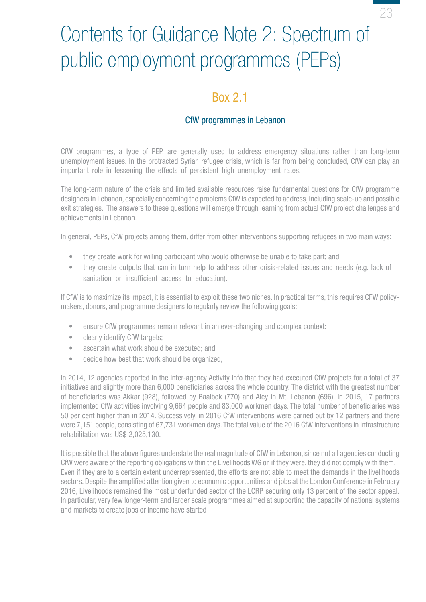# <span id="page-22-0"></span>Contents for Guidance Note 2: Spectrum of public employment programmes (PEPs)

## Box 2.1

### CfW programmes in Lebanon

CfW programmes, a type of PEP, are generally used to address emergency situations rather than long-term unemployment issues. In the protracted Syrian refugee crisis, which is far from being concluded, CfW can play an important role in lessening the effects of persistent high unemployment rates.

The long-term nature of the crisis and limited available resources raise fundamental questions for CfW programme designers in Lebanon, especially concerning the problems CfW is expected to address, including scale-up and possible exit strategies. The answers to these questions will emerge through learning from actual CfW project challenges and achievements in Lebanon.

In general, PEPs, CfW projects among them, differ from other interventions supporting refugees in two main ways:

- they create work for willing participant who would otherwise be unable to take part; and
- they create outputs that can in turn help to address other crisis-related issues and needs (e.g. lack of sanitation or insufficient access to education).

If CfW is to maximize its impact, it is essential to exploit these two niches. In practical terms, this requires CFW policymakers, donors, and programme designers to regularly review the following goals:

- ensure CfW programmes remain relevant in an ever-changing and complex context:
- clearly identify CfW targets;
- ascertain what work should be executed; and
- decide how best that work should be organized.

In 2014, 12 agencies reported in the inter-agency Activity Info that they had executed CfW projects for a total of 37 initiatives and slightly more than 6,000 beneficiaries across the whole country. The district with the greatest number of beneficiaries was Akkar (928), followed by Baalbek (770) and Aley in Mt. Lebanon (696). In 2015, 17 partners implemented CfW activities involving 9,664 people and 83,000 workmen days. The total number of beneficiaries was 50 per cent higher than in 2014. Successively, in 2016 CfW interventions were carried out by 12 partners and there were 7,151 people, consisting of 67,731 workmen days. The total value of the 2016 CfW interventions in infrastructure rehabilitation was US\$ 2,025,130.

It is possible that the above figures understate the real magnitude of CfW in Lebanon, since not all agencies conducting CfW were aware of the reporting obligations within the Livelihoods WG or, if they were, they did not comply with them. Even if they are to a certain extent underrepresented, the efforts are not able to meet the demands in the livelihoods sectors. Despite the amplified attention given to economic opportunities and jobs at the London Conference in February 2016, Livelihoods remained the most underfunded sector of the LCRP, securing only 13 percent of the sector appeal. In particular, very few longer-term and larger scale programmes aimed at supporting the capacity of national systems and markets to create jobs or income have started

23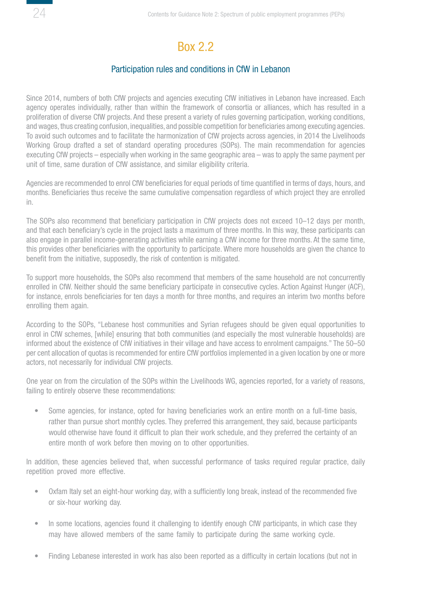# Box 2.2

#### Participation rules and conditions in CfW in Lebanon

<span id="page-23-0"></span>Since 2014, numbers of both CfW projects and agencies executing CfW initiatives in Lebanon have increased. Each agency operates individually, rather than within the framework of consortia or alliances, which has resulted in a proliferation of diverse CfW projects. And these present a variety of rules governing participation, working conditions, and wages, thus creating confusion, inequalities, and possible competition for beneficiaries among executing agencies. To avoid such outcomes and to facilitate the harmonization of CfW projects across agencies, in 2014 the Livelihoods Working Group drafted a set of standard operating procedures (SOPs). The main recommendation for agencies executing CfW projects – especially when working in the same geographic area – was to apply the same payment per unit of time, same duration of CfW assistance, and similar eligibility criteria.

Agencies are recommended to enrol CfW beneficiaries for equal periods of time quantified in terms of days, hours, and months. Beneficiaries thus receive the same cumulative compensation regardless of which project they are enrolled in.

The SOPs also recommend that beneficiary participation in CfW projects does not exceed 10–12 days per month, and that each beneficiary's cycle in the project lasts a maximum of three months. In this way, these participants can also engage in parallel income-generating activities while earning a CfW income for three months. At the same time, this provides other beneficiaries with the opportunity to participate. Where more households are given the chance to benefit from the initiative, supposedly, the risk of contention is mitigated.

To support more households, the SOPs also recommend that members of the same household are not concurrently enrolled in CfW. Neither should the same beneficiary participate in consecutive cycles. Action Against Hunger (ACF), for instance, enrols beneficiaries for ten days a month for three months, and requires an interim two months before enrolling them again.

According to the SOPs, "Lebanese host communities and Syrian refugees should be given equal opportunities to enrol in CfW schemes, [while] ensuring that both communities (and especially the most vulnerable households) are informed about the existence of CfW initiatives in their village and have access to enrolment campaigns." The 50–50 per cent allocation of quotas is recommended for entire CfW portfolios implemented in a given location by one or more actors, not necessarily for individual CfW projects.

One year on from the circulation of the SOPs within the Livelihoods WG, agencies reported, for a variety of reasons, failing to entirely observe these recommendations:

Some agencies, for instance, opted for having beneficiaries work an entire month on a full-time basis, rather than pursue short monthly cycles. They preferred this arrangement, they said, because participants would otherwise have found it difficult to plan their work schedule, and they preferred the certainty of an entire month of work before then moving on to other opportunities.

In addition, these agencies believed that, when successful performance of tasks required regular practice, daily repetition proved more effective.

- Oxfam Italy set an eight-hour working day, with a sufficiently long break, instead of the recommended five or six-hour working day.
- In some locations, agencies found it challenging to identify enough CfW participants, in which case they may have allowed members of the same family to participate during the same working cycle.
- Finding Lebanese interested in work has also been reported as a difficulty in certain locations (but not in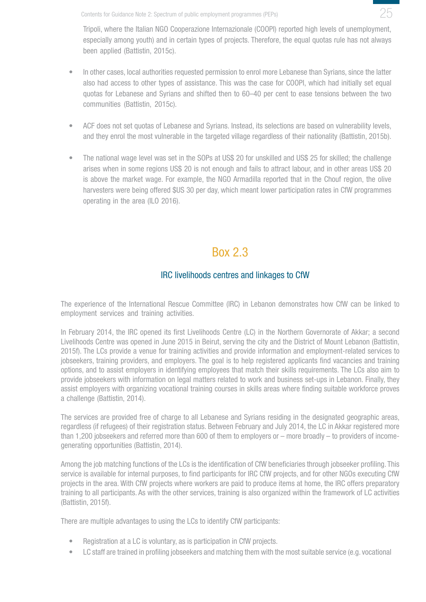<span id="page-24-0"></span>Contents for Guidance Note 2: Spectrum of public employment programmes (PEPs)

25

Tripoli, where the Italian NGO Cooperazione Internazionale (COOPI) reported high levels of unemployment, especially among youth) and in certain types of projects. Therefore, the equal quotas rule has not always been applied (Battistin, 2015c).

- In other cases, local authorities requested permission to enrol more Lebanese than Syrians, since the latter also had access to other types of assistance. This was the case for COOPI, which had initially set equal quotas for Lebanese and Syrians and shifted then to 60–40 per cent to ease tensions between the two communities (Battistin, 2015c).
- ACF does not set quotas of Lebanese and Syrians. Instead, its selections are based on vulnerability levels, and they enrol the most vulnerable in the targeted village regardless of their nationality (Battistin, 2015b).
- The national wage level was set in the SOPs at US\$ 20 for unskilled and US\$ 25 for skilled; the challenge arises when in some regions US\$ 20 is not enough and fails to attract labour, and in other areas US\$ 20 is above the market wage. For example, the NGO Armadilla reported that in the Chouf region, the olive harvesters were being offered \$US 30 per day, which meant lower participation rates in CfW programmes operating in the area (ILO 2016).

## Box 2.3

## IRC livelihoods centres and linkages to CfW

The experience of the International Rescue Committee (IRC) in Lebanon demonstrates how CfW can be linked to employment services and training activities.

In February 2014, the IRC opened its first Livelihoods Centre (LC) in the Northern Governorate of Akkar; a second Livelihoods Centre was opened in June 2015 in Beirut, serving the city and the District of Mount Lebanon (Battistin, 2015f). The LCs provide a venue for training activities and provide information and employment-related services to jobseekers, training providers, and employers. The goal is to help registered applicants find vacancies and training options, and to assist employers in identifying employees that match their skills requirements. The LCs also aim to provide jobseekers with information on legal matters related to work and business set-ups in Lebanon. Finally, they assist employers with organizing vocational training courses in skills areas where finding suitable workforce proves a challenge (Battistin, 2014).

The services are provided free of charge to all Lebanese and Syrians residing in the designated geographic areas, regardless (if refugees) of their registration status. Between February and July 2014, the LC in Akkar registered more than 1,200 jobseekers and referred more than 600 of them to employers or – more broadly – to providers of incomegenerating opportunities (Battistin, 2014).

Among the job matching functions of the LCs is the identification of CfW beneficiaries through jobseeker profiling. This service is available for internal purposes, to find participants for IRC CfW projects, and for other NGOs executing CfW projects in the area. With CfW projects where workers are paid to produce items at home, the IRC offers preparatory training to all participants. As with the other services, training is also organized within the framework of LC activities (Battistin, 2015f).

There are multiple advantages to using the LCs to identify CfW participants:

- Registration at a LC is voluntary, as is participation in CfW projects.
- LC staff are trained in profiling jobseekers and matching them with the most suitable service (e.g. vocational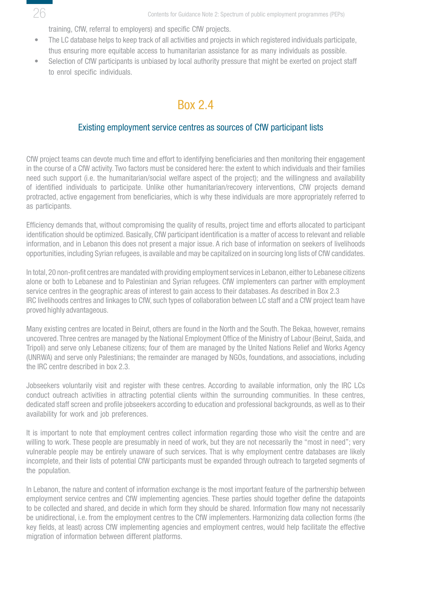<span id="page-25-0"></span>

training, CfW, referral to employers) and specific CfW projects.

- The LC database helps to keep track of all activities and projects in which registered individuals participate, thus ensuring more equitable access to humanitarian assistance for as many individuals as possible.
- Selection of CfW participants is unbiased by local authority pressure that might be exerted on project staff to enrol specific individuals.

## Box 2.4

#### Existing employment service centres as sources of CfW participant lists

CfW project teams can devote much time and effort to identifying beneficiaries and then monitoring their engagement in the course of a CfW activity. Two factors must be considered here: the extent to which individuals and their families need such support (i.e. the humanitarian/social welfare aspect of the project); and the willingness and availability of identified individuals to participate. Unlike other humanitarian/recovery interventions, CfW projects demand protracted, active engagement from beneficiaries, which is why these individuals are more appropriately referred to as participants.

Efficiency demands that, without compromising the quality of results, project time and efforts allocated to participant identification should be optimized. Basically, CfW participant identification is a matter of access to relevant and reliable information, and in Lebanon this does not present a major issue. A rich base of information on seekers of livelihoods opportunities, including Syrian refugees, is available and may be capitalized on in sourcing long lists of CfW candidates.

In total, 20 non-profit centres are mandated with providing employment services in Lebanon, either to Lebanese citizens alone or both to Lebanese and to Palestinian and Syrian refugees. CfW implementers can partner with employment service centres in the geographic areas of interest to gain access to their databases. As described in Box 2.3 IRC livelihoods centres and linkages to CfW, such types of collaboration between LC staff and a CfW project team have proved highly advantageous.

Many existing centres are located in Beirut, others are found in the North and the South. The Bekaa, however, remains uncovered. Three centres are managed by the National Employment Office of the Ministry of Labour (Beirut, Saida, and Tripoli) and serve only Lebanese citizens; four of them are managed by the United Nations Relief and Works Agency (UNRWA) and serve only Palestinians; the remainder are managed by NGOs, foundations, and associations, including the IRC centre described in box 2.3.

Jobseekers voluntarily visit and register with these centres. According to available information, only the IRC LCs conduct outreach activities in attracting potential clients within the surrounding communities. In these centres, dedicated staff screen and profile jobseekers according to education and professional backgrounds, as well as to their availability for work and job preferences.

It is important to note that employment centres collect information regarding those who visit the centre and are willing to work. These people are presumably in need of work, but they are not necessarily the "most in need"; very vulnerable people may be entirely unaware of such services. That is why employment centre databases are likely incomplete, and their lists of potential CfW participants must be expanded through outreach to targeted segments of the population.

In Lebanon, the nature and content of information exchange is the most important feature of the partnership between employment service centres and CfW implementing agencies. These parties should together define the datapoints to be collected and shared, and decide in which form they should be shared. Information flow many not necessarily be unidirectional, i.e. from the employment centres to the CfW implementers. Harmonizing data collection forms (the key fields, at least) across CfW implementing agencies and employment centres, would help facilitate the effective migration of information between different platforms.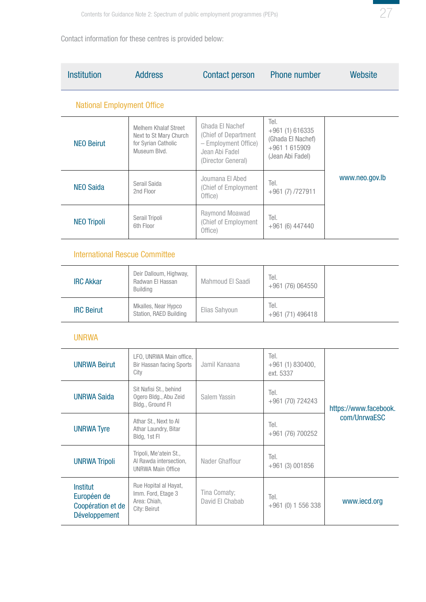

Contact information for these centres is provided below:

| <b>Institution</b>                | <b>Address</b>                                                                        | <b>Contact person</b>                                                                                   | Phone number                                                                      | Website        |
|-----------------------------------|---------------------------------------------------------------------------------------|---------------------------------------------------------------------------------------------------------|-----------------------------------------------------------------------------------|----------------|
| <b>National Employment Office</b> |                                                                                       |                                                                                                         |                                                                                   |                |
| <b>NEO Beirut</b>                 | Melhem Khalaf Street<br>Next to St Mary Church<br>for Syrian Catholic<br>Museum Blvd. | Ghada El Nachef<br>(Chief of Department<br>- Employment Office)<br>Jean Abi Fadel<br>(Director General) | Tel.<br>$+961(1)616335$<br>(Ghada El Nachef)<br>+961 1 615909<br>(Jean Abi Fadel) |                |
| <b>NEO Saida</b>                  | Serail Saida<br>2nd Floor                                                             | Joumana El Abed<br>Chief of Employment)<br>Office)                                                      | Tel.<br>$+961(7)$ /727911                                                         | www.neo.gov.lb |
| <b>NEO Tripoli</b>                | Serail Tripoli<br>6th Floor                                                           | Raymond Moawad<br><b>Chief of Employment</b><br>Office)                                                 | Tel.<br>$+961(6)$ 447440                                                          |                |

### International Rescue Committee

| <b>IRC Akkar</b>  | Deir Dalloum, Highway,<br>Radwan El Hassan<br>Building | Mahmoud El Saadi | Tel.<br>$+961(76)064550$  |
|-------------------|--------------------------------------------------------|------------------|---------------------------|
| <b>IRC Beirut</b> | Mkalles, Near Hypco<br>Station, RAED Building          | Elias Sahyoun    | Tel.<br>$+961(71)$ 496418 |

### UNRWA

| <b>UNRWA Beirut</b>                                           | LFO, UNRWA Main office,<br><b>Bir Hassan facing Sports</b><br>City           | Jamil Kanaana                   | Tel.<br>$+961(1)830400,$<br>ext. 5337 |                       |
|---------------------------------------------------------------|------------------------------------------------------------------------------|---------------------------------|---------------------------------------|-----------------------|
| <b>UNRWA Saida</b>                                            | Sit Nafisi St., behind<br>Ogero Bldg., Abu Zeid<br>Bldg., Ground Fl          | Salem Yassin                    | Tel.<br>$+961(70)$ 724243             | https://www.facebook. |
| <b>UNRWA Tyre</b>                                             | Athar St., Next to Al<br>Athar Laundry, Bitar<br>Bldg, 1st Fl                |                                 | Tel.<br>$+961(76)700252$              | com/UnrwaFSC          |
| <b>UNRWA Tripoli</b>                                          | Tripoli, Me'atein St.,<br>Al Rawda intersection,<br><b>UNRWA Main Office</b> | Nader Ghaffour                  | Tel.<br>$+961(3)001856$               |                       |
| Institut<br>Européen de<br>Coopération et de<br>Développement | Rue Hopital al Hayat,<br>Imm. Ford, Etage 3<br>Area: Chiah,<br>City: Beirut  | Tina Comaty;<br>David El Chabab | Tel.<br>$+961(0)$ 1 556 338           | www.iecd.org          |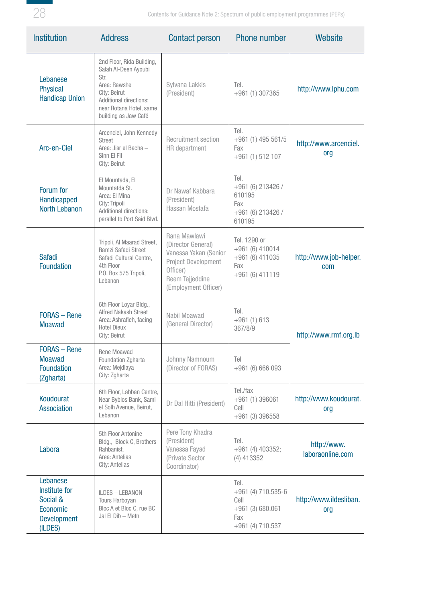

| <b>Institution</b>                                                                 | <b>Address</b>                                                                                                                                                         | <b>Contact person</b>                                                                                                                            | <b>Phone number</b>                                                               | Website                         |
|------------------------------------------------------------------------------------|------------------------------------------------------------------------------------------------------------------------------------------------------------------------|--------------------------------------------------------------------------------------------------------------------------------------------------|-----------------------------------------------------------------------------------|---------------------------------|
| Lebanese<br><b>Physical</b><br><b>Handicap Union</b>                               | 2nd Floor, Rida Building,<br>Salah Al-Deen Ayoubi<br>Str.<br>Area: Rawshe<br>City: Beirut<br>Additional directions:<br>near Rotana Hotel, same<br>building as Jaw Café | Sylvana Lakkis<br>(President)                                                                                                                    | Tel.<br>$+961(1)307365$                                                           | http://www.lphu.com             |
| Arc-en-Ciel                                                                        | Arcenciel, John Kennedy<br><b>Street</b><br>Area: Jisr el Bacha -<br>Sinn El Fil<br>City: Beirut                                                                       | <b>Recruitment section</b><br>HR department                                                                                                      | Tel.<br>$+961(1)$ 495 561/5<br>Fax<br>$+961(1)512107$                             | http://www.arcenciel.<br>org    |
| Forum for<br>Handicapped<br><b>North Lebanon</b>                                   | El Mountada, El<br>Mountatda St.<br>Area: El Mina<br>City: Tripoli<br>Additional directions:<br>parallel to Port Said Blvd.                                            | Dr Nawaf Kabbara<br>(President)<br>Hassan Mostafa                                                                                                | Tel.<br>+961 (6) 213426 /<br>610195<br>Fax<br>+961 (6) 213426 /<br>610195         |                                 |
| <b>Safadi</b><br><b>Foundation</b>                                                 | Tripoli, Al Maarad Street.<br>Ramzi Safadi Street<br>Safadi Cultural Centre,<br>4th Floor<br>P.O. Box 575 Tripoli,<br>Lebanon                                          | Rana Mawlawi<br>(Director General)<br>Vanessa Yakan (Senior<br><b>Project Development</b><br>Officer)<br>Reem Tajjeddine<br>(Employment Officer) | Tel. 1290 or<br>$+961(6)410014$<br>+961 (6) 411035<br>Fax<br>+961 (6) 411119      | http://www.job-helper.<br>com   |
| <b>FORAS</b> - Rene<br><b>Moawad</b>                                               | 6th Floor Loyar Bldg.,<br>Alfred Nakash Street<br>Area: Ashrafieh, facing<br><b>Hotel Dieux</b><br>City: Beirut                                                        | Nabil Moawad<br>(General Director)                                                                                                               | Tel.<br>$+961(1)613$<br>367/8/9                                                   | http://www.rmf.org.lb           |
| <b>FORAS</b> - Rene<br><b>Moawad</b><br><b>Foundation</b><br>(Zgharta)             | Rene Moawad<br>Foundation Zgharta<br>Area: Mejdlaya<br>City: Zgharta                                                                                                   | Johnny Namnoum<br>(Director of FORAS)                                                                                                            | Tel<br>$+961(6)666093$                                                            |                                 |
| Koudourat<br><b>Association</b>                                                    | 6th Floor, Labban Centre,<br>Near Byblos Bank, Sami<br>el Solh Avenue, Beirut,<br>Lebanon                                                                              | Dr Dal Hitti (President)                                                                                                                         | Tel./fax<br>$+961(1)396061$<br>Cell<br>$+961(3)396558$                            | http://www.koudourat.<br>org    |
| Labora                                                                             | 5th Floor Antonine<br>Bldg., Block C, Brothers<br>Rahbanist.<br>Area: Antelias<br>City: Antelias                                                                       | Pere Tony Khadra<br>(President)<br>Vanessa Fayad<br>(Private Sector<br>Coordinator)                                                              | Tel.<br>$+961$ (4) 403352;<br>$(4)$ 413352                                        | http://www.<br>laboraonline.com |
| Lebanese<br>Institute for<br>Social &<br>Economic<br><b>Development</b><br>(ILDES) | ILDES - LEBANON<br><b>Tours Harboyan</b><br>Bloc A et Bloc C, rue BC<br>Jal El Dib - Metn                                                                              |                                                                                                                                                  | Tel.<br>+961 (4) 710.535-6<br>Cell<br>$+961(3)680.061$<br>Fax<br>+961 (4) 710.537 | http://www.ildesliban.<br>org   |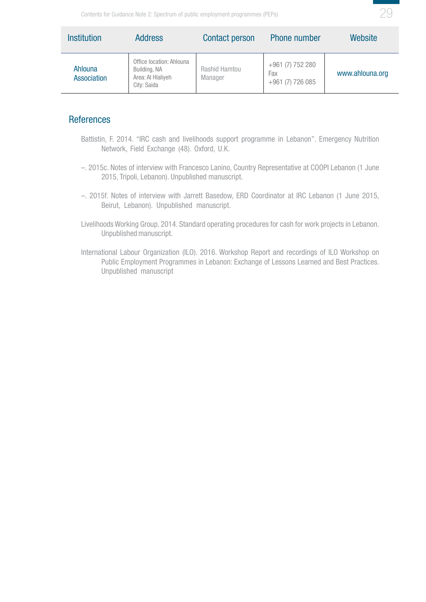<span id="page-28-0"></span>

| <b>Institution</b>            | <b>Address</b>                                                               | <b>Contact person</b>    | <b>Phone number</b>                         | Website         |
|-------------------------------|------------------------------------------------------------------------------|--------------------------|---------------------------------------------|-----------------|
| Ahlouna<br><b>Association</b> | Office location: Ahlouna<br>Building, NA<br>Area: Al Hlaliyeh<br>City: Saida | Rashid Hamtou<br>Manager | +961 (7) 752 280<br>Fax<br>+961 (7) 726 085 | www.ahlouna.org |

#### **References**

- Battistin, F. 2014. "IRC cash and livelihoods support programme in Lebanon". Emergency Nutrition Network, Field Exchange (48). Oxford, U.K.
- –. 2015c. Notes of interview with Francesco Lanino, Country Representative at COOPI Lebanon (1 June 2015, Tripoli, Lebanon). Unpublished manuscript.
- –. 2015f. Notes of interview with Jarrett Basedow, ERD Coordinator at IRC Lebanon (1 June 2015, Beirut, Lebanon). Unpublished manuscript.
- Livelihoods Working Group. 2014. Standard operating procedures for cash for work projects in Lebanon. Unpublished manuscript.
- International Labour Organization (ILO). 2016. Workshop Report and recordings of ILO Workshop on Public Employment Programmes in Lebanon: Exchange of Lessons Learned and Best Practices. Unpublished manuscript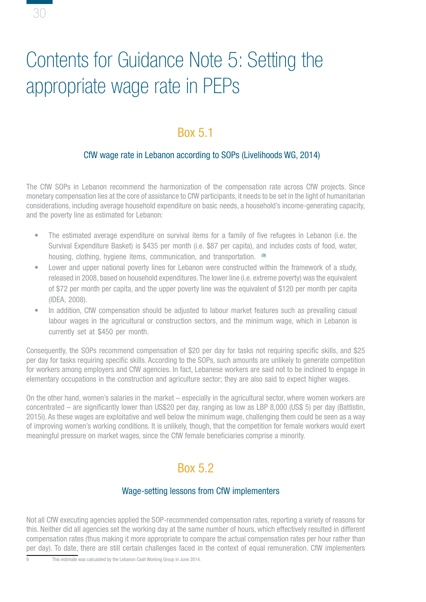# Contents for Guidance Note 5: Setting the appropriate wage rate in PEPs

<span id="page-29-0"></span>30

# Box 5.1

## CfW wage rate in Lebanon according to SOPs (Livelihoods WG, 2014)

The CfW SOPs in Lebanon recommend the harmonization of the compensation rate across CfW projects. Since monetary compensation lies at the core of assistance to CfW participants, it needs to be set in the light of humanitarian considerations, including average household expenditure on basic needs, a household's income-generating capacity, and the poverty line as estimated for Lebanon:

- The estimated average expenditure on survival items for a family of five refugees in Lebanon (i.e. the Survival Expenditure Basket) is \$435 per month (i.e. \$87 per capita), and includes costs of food, water, housing, clothing, hygiene items, communication, and transportation. <sup>(9)</sup>
- Lower and upper national poverty lines for Lebanon were constructed within the framework of a study, released in 2008, based on household expenditures. The lower line (i.e. extreme poverty) was the equivalent of \$72 per month per capita, and the upper poverty line was the equivalent of \$120 per month per capita (IDEA, 2008).
- In addition, CfW compensation should be adjusted to labour market features such as prevailing casual labour wages in the agricultural or construction sectors, and the minimum wage, which in Lebanon is currently set at \$450 per month.

Consequently, the SOPs recommend compensation of \$20 per day for tasks not requiring specific skills, and \$25 per day for tasks requiring specific skills. According to the SOPs, such amounts are unlikely to generate competition for workers among employers and CfW agencies. In fact, Lebanese workers are said not to be inclined to engage in elementary occupations in the construction and agriculture sector; they are also said to expect higher wages.

On the other hand, women's salaries in the market – especially in the agricultural sector, where women workers are concentrated – are significantly lower than US\$20 per day, ranging as low as LBP 8,000 (US\$ 5) per day (Battistin, 2015i). As these wages are exploitative and well below the minimum wage, challenging them could be seen as a way of improving women's working conditions. It is unlikely, though, that the competition for female workers would exert meaningful pressure on market wages, since the CfW female beneficiaries comprise a minority.

# Box 5.2

#### Wage-setting lessons from CfW implementers

Not all CfW executing agencies applied the SOP-recommended compensation rates, reporting a variety of reasons for this. Neither did all agencies set the working day at the same number of hours, which effectively resulted in different compensation rates (thus making it more appropriate to compare the actual compensation rates per hour rather than per day). To date, there are still certain challenges faced in the context of equal remuneration. CfW implementers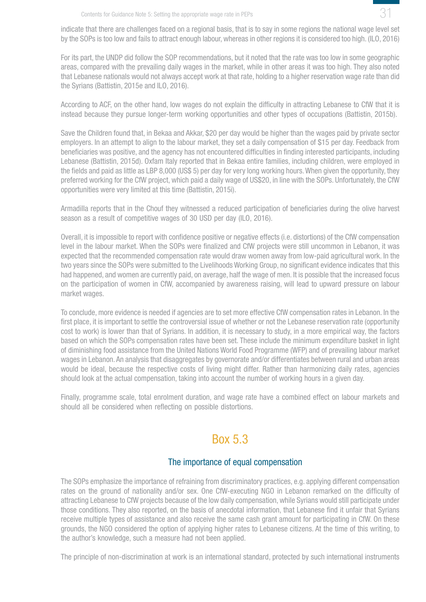31

<span id="page-30-0"></span>indicate that there are challenges faced on a regional basis, that is to say in some regions the national wage level set by the SOPs is too low and fails to attract enough labour, whereas in other regions it is considered too high. (ILO, 2016)

For its part, the UNDP did follow the SOP recommendations, but it noted that the rate was too low in some geographic areas, compared with the prevailing daily wages in the market, while in other areas it was too high. They also noted that Lebanese nationals would not always accept work at that rate, holding to a higher reservation wage rate than did the Syrians (Battistin, 2015e and ILO, 2016).

According to ACF, on the other hand, low wages do not explain the difficulty in attracting Lebanese to CfW that it is instead because they pursue longer-term working opportunities and other types of occupations (Battistin, 2015b).

Save the Children found that, in Bekaa and Akkar, \$20 per day would be higher than the wages paid by private sector employers. In an attempt to align to the labour market, they set a daily compensation of \$15 per day. Feedback from beneficiaries was positive, and the agency has not encountered difficulties in finding interested participants, including Lebanese (Battistin, 2015d). Oxfam Italy reported that in Bekaa entire families, including children, were employed in the fields and paid as little as LBP 8,000 (US\$ 5) per day for very long working hours. When given the opportunity, they preferred working for the CfW project, which paid a daily wage of US\$20, in line with the SOPs. Unfortunately, the CfW opportunities were very limited at this time (Battistin, 2015i).

Armadilla reports that in the Chouf they witnessed a reduced participation of beneficiaries during the olive harvest season as a result of competitive wages of 30 USD per day (ILO, 2016).

Overall, it is impossible to report with confidence positive or negative effects (i.e. distortions) of the CfW compensation level in the labour market. When the SOPs were finalized and CfW projects were still uncommon in Lebanon, it was expected that the recommended compensation rate would draw women away from low-paid agricultural work. In the two years since the SOPs were submitted to the Livelihoods Working Group, no significant evidence indicates that this had happened, and women are currently paid, on average, half the wage of men. It is possible that the increased focus on the participation of women in CfW, accompanied by awareness raising, will lead to upward pressure on labour market wages.

To conclude, more evidence is needed if agencies are to set more effective CfW compensation rates in Lebanon. In the first place, it is important to settle the controversial issue of whether or not the Lebanese reservation rate (opportunity cost to work) is lower than that of Syrians. In addition, it is necessary to study, in a more empirical way, the factors based on which the SOPs compensation rates have been set. These include the minimum expenditure basket in light of diminishing food assistance from the United Nations World Food Programme (WFP) and of prevailing labour market wages in Lebanon. An analysis that disaggregates by governorate and/or differentiates between rural and urban areas would be ideal, because the respective costs of living might differ. Rather than harmonizing daily rates, agencies should look at the actual compensation, taking into account the number of working hours in a given day.

Finally, programme scale, total enrolment duration, and wage rate have a combined effect on labour markets and should all be considered when reflecting on possible distortions.

# Box 5.3

#### The importance of equal compensation

The SOPs emphasize the importance of refraining from discriminatory practices, e.g. applying different compensation rates on the ground of nationality and/or sex. One CfW-executing NGO in Lebanon remarked on the difficulty of attracting Lebanese to CfW projects because of the low daily compensation, while Syrians would still participate under those conditions. They also reported, on the basis of anecdotal information, that Lebanese find it unfair that Syrians receive multiple types of assistance and also receive the same cash grant amount for participating in CfW. On these grounds, the NGO considered the option of applying higher rates to Lebanese citizens. At the time of this writing, to the author's knowledge, such a measure had not been applied.

The principle of non-discrimination at work is an international standard, protected by such international instruments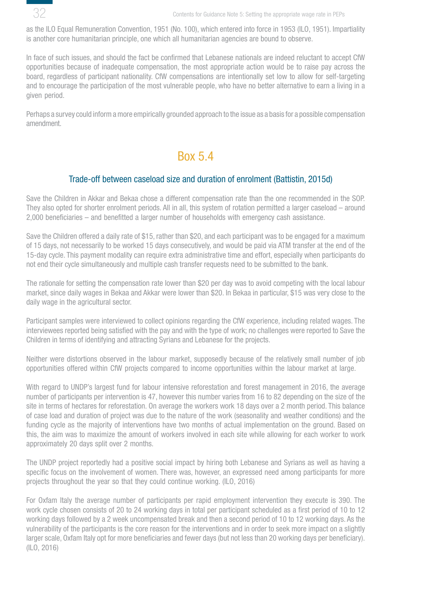<span id="page-31-0"></span>

as the ILO Equal Remuneration Convention, 1951 (No. 100), which entered into force in 1953 (ILO, 1951). Impartiality is another core humanitarian principle, one which all humanitarian agencies are bound to observe.

In face of such issues, and should the fact be confirmed that Lebanese nationals are indeed reluctant to accept CfW opportunities because of inadequate compensation, the most appropriate action would be to raise pay across the board, regardless of participant nationality. CfW compensations are intentionally set low to allow for self-targeting and to encourage the participation of the most vulnerable people, who have no better alternative to earn a living in a given period.

Perhaps a survey could inform a more empirically grounded approach to the issue as a basis for a possible compensation amendment.

## Box 5.4

#### Trade-off between caseload size and duration of enrolment (Battistin, 2015d)

Save the Children in Akkar and Bekaa chose a different compensation rate than the one recommended in the SOP. They also opted for shorter enrolment periods. All in all, this system of rotation permitted a larger caseload – around 2,000 beneficiaries – and benefitted a larger number of households with emergency cash assistance.

Save the Children offered a daily rate of \$15, rather than \$20, and each participant was to be engaged for a maximum of 15 days, not necessarily to be worked 15 days consecutively, and would be paid via ATM transfer at the end of the 15-day cycle. This payment modality can require extra administrative time and effort, especially when participants do not end their cycle simultaneously and multiple cash transfer requests need to be submitted to the bank.

The rationale for setting the compensation rate lower than \$20 per day was to avoid competing with the local labour market, since daily wages in Bekaa and Akkar were lower than \$20. In Bekaa in particular, \$15 was very close to the daily wage in the agricultural sector.

Participant samples were interviewed to collect opinions regarding the CfW experience, including related wages. The interviewees reported being satisfied with the pay and with the type of work; no challenges were reported to Save the Children in terms of identifying and attracting Syrians and Lebanese for the projects.

Neither were distortions observed in the labour market, supposedly because of the relatively small number of job opportunities offered within CfW projects compared to income opportunities within the labour market at large.

With regard to UNDP's largest fund for labour intensive reforestation and forest management in 2016, the average number of participants per intervention is 47, however this number varies from 16 to 82 depending on the size of the site in terms of hectares for reforestation. On average the workers work 18 days over a 2 month period. This balance of case load and duration of project was due to the nature of the work (seasonality and weather conditions) and the funding cycle as the majority of interventions have two months of actual implementation on the ground. Based on this, the aim was to maximize the amount of workers involved in each site while allowing for each worker to work approximately 20 days split over 2 months.

The UNDP project reportedly had a positive social impact by hiring both Lebanese and Syrians as well as having a specific focus on the involvement of women. There was, however, an expressed need among participants for more projects throughout the year so that they could continue working. (ILO, 2016)

For Oxfam Italy the average number of participants per rapid employment intervention they execute is 390. The work cycle chosen consists of 20 to 24 working days in total per participant scheduled as a first period of 10 to 12 working days followed by a 2 week uncompensated break and then a second period of 10 to 12 working days. As the vulnerability of the participants is the core reason for the interventions and in order to seek more impact on a slightly larger scale, Oxfam Italy opt for more beneficiaries and fewer days (but not less than 20 working days per beneficiary). (ILO, 2016)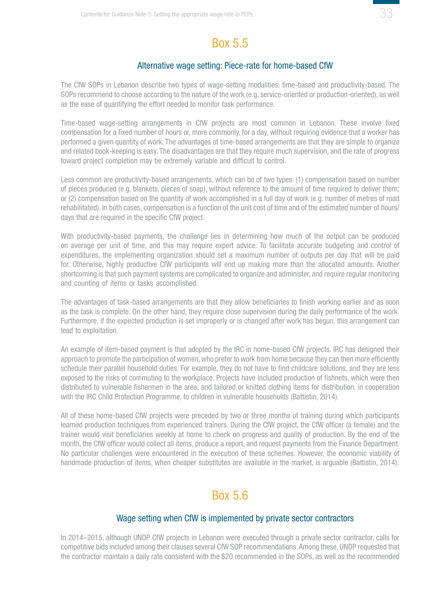

## Box 5.5

#### Alternative wage setting: Piece-rate for home-based CfW

<span id="page-32-0"></span>The CfW SOPs in Lebanon describe two types of wage-setting modalities: time-based and productivity-based. The SOPs recommend to choose according to the nature of the work (e.g. service-oriented or production-oriented), as well as the ease of quantifying the effort needed to monitor task performance.

Time-based wage-setting arrangements in CfW projects are most common in Lebanon. These involve fixed compensation for a fixed number of hours or, more commonly, for a day, without requiring evidence that a worker has performed a given quantity of work. The advantages of time-based arrangements are that they are simple to organize and related book-keeping is easy. The disadvantages are that they require much supervision, and the rate of progress toward project completion may be extremely variable and difficult to control.

Less common are productivity-based arrangements, which can be of two types: (1) compensation based on number of pieces produced (e.g. blankets, pieces of soap), without reference to the amount of time required to deliver them; or (2) compensation based on the quantity of work accomplished in a full day of work (e.g. number of metres of road rehabilitated). In both cases, compensation is a function of the unit cost of time and of the estimated number of hours/ days that are required in the specific CfW project.

With productivity-based payments, the challenge lies in determining how much of the output can be produced on average per unit of time, and this may require expert advice. To facilitate accurate budgeting and control of expenditures, the implementing organization should set a maximum number of outputs per day that will be paid for. Otherwise, highly productive CfW participants will end up making more than the allocated amounts. Another shortcoming is that such payment systems are complicated to organize and administer, and require regular monitoring and counting of items or tasks accomplished.

The advantages of task-based arrangements are that they allow beneficiaries to finish working earlier and as soon as the task is complete. On the other hand, they require close supervision during the daily performance of the work. Furthermore, if the expected production is set improperly or is changed after work has begun, this arrangement can lead to exploitation.

An example of item-based payment is that adopted by the IRC in home-based CfW projects. IRC has designed their approach to promote the participation of women, who prefer to work from home because they can then more efficiently schedule their parallel household duties. For example, they do not have to find childcare solutions, and they are less exposed to the risks of commuting to the workplace. Projects have included production of fishnets, which were then distributed to vulnerable fishermen in the area; and tailored or knitted clothing items for distribution, in cooperation with the IRC Child Protection Programme, to children in vulnerable households (Battistin, 2014).

All of these home-based CfW projects were preceded by two or three months of training during which participants learned production techniques from experienced trainers. During the CfW project, the CfW officer (a female) and the trainer would visit beneficiaries weekly at home to check on progress and quality of production. By the end of the month, the CfW officer would collect all items, produce a report, and request payments from the Finance Department. No particular challenges were encountered in the execution of these schemes. However, the economic viability of handmade production of items, when cheaper substitutes are available in the market, is arguable (Battistin, 2014).

# Box 5.6

#### Wage setting when CfW is implemented by private sector contractors

In 2014–2015, although UNDP CfW projects in Lebanon were executed through a private sector contractor, calls for competitive bids included among their clauses several CfW SOP recommendations. Among these, UNDP requested that the contractor maintain a daily rate consistent with the \$20 recommended in the SOPs, as well as the recommended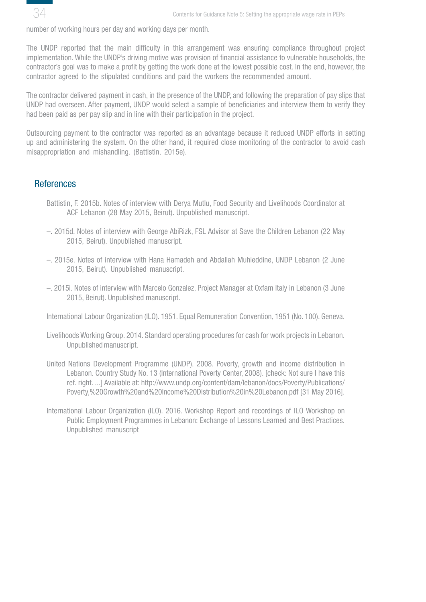<span id="page-33-0"></span>

number of working hours per day and working days per month.

The UNDP reported that the main difficulty in this arrangement was ensuring compliance throughout project implementation. While the UNDP's driving motive was provision of financial assistance to vulnerable households, the contractor's goal was to make a profit by getting the work done at the lowest possible cost. In the end, however, the contractor agreed to the stipulated conditions and paid the workers the recommended amount.

The contractor delivered payment in cash, in the presence of the UNDP, and following the preparation of pay slips that UNDP had overseen. After payment, UNDP would select a sample of beneficiaries and interview them to verify they had been paid as per pay slip and in line with their participation in the project.

Outsourcing payment to the contractor was reported as an advantage because it reduced UNDP efforts in setting up and administering the system. On the other hand, it required close monitoring of the contractor to avoid cash misappropriation and mishandling. (Battistin, 2015e).

### **References**

- Battistin, F. 2015b. Notes of interview with Derya Mutlu, Food Security and Livelihoods Coordinator at ACF Lebanon (28 May 2015, Beirut). Unpublished manuscript.
- –. 2015d. Notes of interview with George AbiRizk, FSL Advisor at Save the Children Lebanon (22 May 2015, Beirut). Unpublished manuscript.
- –. 2015e. Notes of interview with Hana Hamadeh and Abdallah Muhieddine, UNDP Lebanon (2 June 2015, Beirut). Unpublished manuscript.
- –. 2015i. Notes of interview with Marcelo Gonzalez, Project Manager at Oxfam Italy in Lebanon (3 June 2015, Beirut). Unpublished manuscript.

International Labour Organization (ILO). 1951. Equal Remuneration Convention, 1951 (No. 100). Geneva.

- Livelihoods Working Group. 2014. Standard operating procedures for cash for work projects in Lebanon. Unpublished manuscript.
- United Nations Development Programme (UNDP). 2008. Poverty, growth and income distribution in Lebanon. Country Study No. 13 (International Poverty Center, 2008). [check: Not sure I have this ref. right. ...] Available at: http://www.undp.org/content/dam/lebanon/docs/Poverty/Publications/ Poverty,%20Growth%20and%20Income%20Distribution%20in%20Lebanon.pdf [31 May 2016].
- International Labour Organization (ILO). 2016. Workshop Report and recordings of ILO Workshop on Public Employment Programmes in Lebanon: Exchange of Lessons Learned and Best Practices. Unpublished manuscript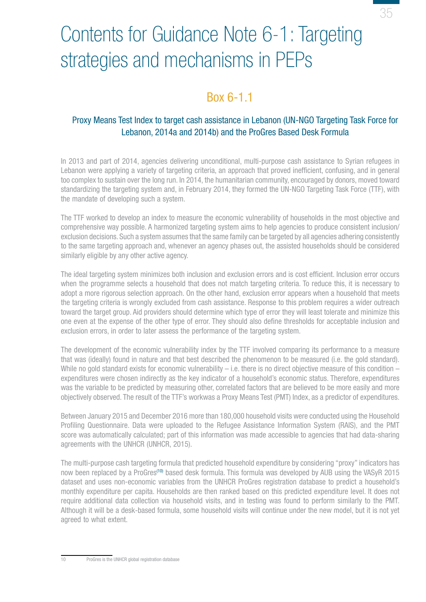

# <span id="page-34-0"></span>Contents for Guidance Note 6-1: Targeting strategies and mechanisms in PEPs

# Box 6-1.1

## Proxy Means Test Index to target cash assistance in Lebanon (UN-NGO Targeting Task Force for Lebanon, 2014a and 2014b) and the ProGres Based Desk Formula

In 2013 and part of 2014, agencies delivering unconditional, multi-purpose cash assistance to Syrian refugees in Lebanon were applying a variety of targeting criteria, an approach that proved inefficient, confusing, and in general too complex to sustain over the long run. In 2014, the humanitarian community, encouraged by donors, moved toward standardizing the targeting system and, in February 2014, they formed the UN-NGO Targeting Task Force (TTF), with the mandate of developing such a system.

The TTF worked to develop an index to measure the economic vulnerability of households in the most objective and comprehensive way possible. A harmonized targeting system aims to help agencies to produce consistent inclusion/ exclusion decisions. Such a system assumes that the same family can be targeted by all agencies adhering consistently to the same targeting approach and, whenever an agency phases out, the assisted households should be considered similarly eligible by any other active agency.

The ideal targeting system minimizes both inclusion and exclusion errors and is cost efficient. Inclusion error occurs when the programme selects a household that does not match targeting criteria. To reduce this, it is necessary to adopt a more rigorous selection approach. On the other hand, exclusion error appears when a household that meets the targeting criteria is wrongly excluded from cash assistance. Response to this problem requires a wider outreach toward the target group. Aid providers should determine which type of error they will least tolerate and minimize this one even at the expense of the other type of error. They should also define thresholds for acceptable inclusion and exclusion errors, in order to later assess the performance of the targeting system.

The development of the economic vulnerability index by the TTF involved comparing its performance to a measure that was (ideally) found in nature and that best described the phenomenon to be measured (i.e. the gold standard). While no gold standard exists for economic vulnerability  $-$  i.e. there is no direct objective measure of this condition  $$ expenditures were chosen indirectly as the key indicator of a household's economic status. Therefore, expenditures was the variable to be predicted by measuring other, correlated factors that are believed to be more easily and more objectively observed. The result of the TTF's workwas a Proxy Means Test (PMT) Index, as a predictor of expenditures.

Between January 2015 and December 2016 more than 180,000 household visits were conducted using the Household Profiling Questionnaire. Data were uploaded to the Refugee Assistance Information System (RAIS), and the PMT score was automatically calculated; part of this information was made accessible to agencies that had data-sharing agreements with the UNHCR (UNHCR, 2015).

The multi-purpose cash targeting formula that predicted household expenditure by considering "proxy" indicators has now been replaced by a ProGres<sup>(10)</sup> based desk formula. This formula was developed by AUB using the VASyR 2015 dataset and uses non-economic variables from the UNHCR ProGres registration database to predict a household's monthly expenditure per capita. Households are then ranked based on this predicted expenditure level. It does not require additional data collection via household visits, and in testing was found to perform similarly to the PMT. Although it will be a desk-based formula, some household visits will continue under the new model, but it is not yet agreed to what extent.

10 ProGres is the UNHCR global registration database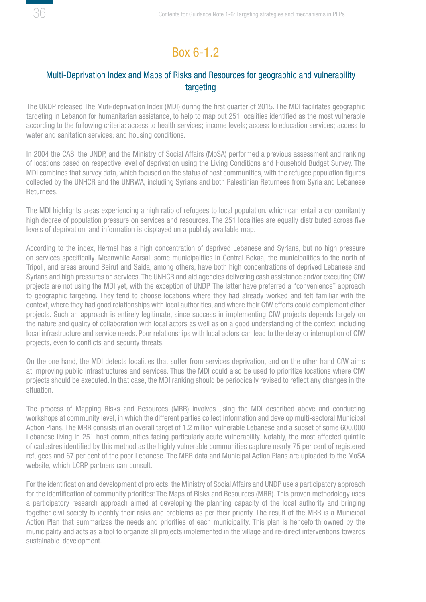# Box 6-1.2

## <span id="page-35-0"></span>Multi-Deprivation Index and Maps of Risks and Resources for geographic and vulnerability targeting

The UNDP released The Muti-deprivation Index (MDI) during the first quarter of 2015. The MDI facilitates geographic targeting in Lebanon for humanitarian assistance, to help to map out 251 localities identified as the most vulnerable according to the following criteria: access to health services; income levels; access to education services; access to water and sanitation services; and housing conditions.

In 2004 the CAS, the UNDP, and the Ministry of Social Affairs (MoSA) performed a previous assessment and ranking of locations based on respective level of deprivation using the Living Conditions and Household Budget Survey. The MDI combines that survey data, which focused on the status of host communities, with the refugee population figures collected by the UNHCR and the UNRWA, including Syrians and both Palestinian Returnees from Syria and Lebanese Returnees.

The MDI highlights areas experiencing a high ratio of refugees to local population, which can entail a concomitantly high degree of population pressure on services and resources. The 251 localities are equally distributed across five levels of deprivation, and information is displayed on a publicly available map.

According to the index, Hermel has a high concentration of deprived Lebanese and Syrians, but no high pressure on services specifically. Meanwhile Aarsal, some municipalities in Central Bekaa, the municipalities to the north of Tripoli, and areas around Beirut and Saida, among others, have both high concentrations of deprived Lebanese and Syrians and high pressures on services. The UNHCR and aid agencies delivering cash assistance and/or executing CfW projects are not using the MDI yet, with the exception of UNDP. The latter have preferred a "convenience" approach to geographic targeting. They tend to choose locations where they had already worked and felt familiar with the context, where they had good relationships with local authorities, and where their CfW efforts could complement other projects. Such an approach is entirely legitimate, since success in implementing CfW projects depends largely on the nature and quality of collaboration with local actors as well as on a good understanding of the context, including local infrastructure and service needs. Poor relationships with local actors can lead to the delay or interruption of CfW projects, even to conflicts and security threats.

On the one hand, the MDI detects localities that suffer from services deprivation, and on the other hand CfW aims at improving public infrastructures and services. Thus the MDI could also be used to prioritize locations where CfW projects should be executed. In that case, the MDI ranking should be periodically revised to reflect any changes in the situation.

The process of Mapping Risks and Resources (MRR) involves using the MDI described above and conducting workshops at community level, in which the different parties collect information and develop multi-sectoral Municipal Action Plans. The MRR consists of an overall target of 1.2 million vulnerable Lebanese and a subset of some 600,000 Lebanese living in 251 host communities facing particularly acute vulnerability. Notably, the most affected quintile of cadastres identified by this method as the highly vulnerable communities capture nearly 75 per cent of registered refugees and 67 per cent of the poor Lebanese. The MRR data and Municipal Action Plans are uploaded to the MoSA website, which LCRP partners can consult.

For the identification and development of projects, the Ministry of Social Affairs and UNDP use a participatory approach for the identification of community priorities: The Maps of Risks and Resources (MRR). This proven methodology uses a participatory research approach aimed at developing the planning capacity of the local authority and bringing together civil society to identify their risks and problems as per their priority. The result of the MRR is a Municipal Action Plan that summarizes the needs and priorities of each municipality. This plan is henceforth owned by the municipality and acts as a tool to organize all projects implemented in the village and re-direct interventions towards sustainable development.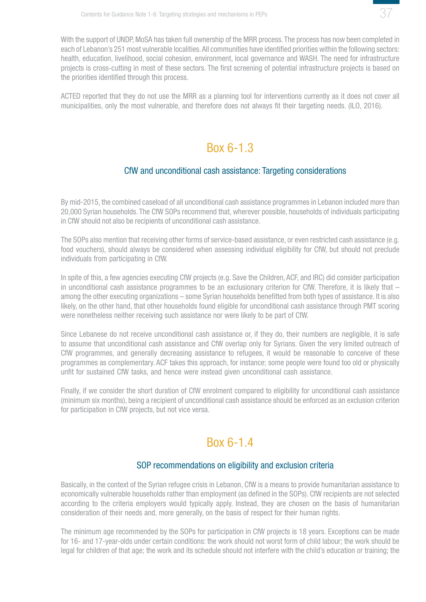

<span id="page-36-0"></span>With the support of UNDP, MoSA has taken full ownership of the MRR process. The process has now been completed in each of Lebanon's 251 most vulnerable localities. All communities have identified priorities within the following sectors: health, education, livelihood, social cohesion, environment, local governance and WASH. The need for infrastructure projects is cross-cutting in most of these sectors. The first screening of potential infrastructure projects is based on the priorities identified through this process.

ACTED reported that they do not use the MRR as a planning tool for interventions currently as it does not cover all municipalities, only the most vulnerable, and therefore does not always fit their targeting needs. (ILO, 2016).

## Box 6-1.3

### CfW and unconditional cash assistance: Targeting considerations

By mid-2015, the combined caseload of all unconditional cash assistance programmes in Lebanon included more than 20,000 Syrian households. The CfW SOPs recommend that, wherever possible, households of individuals participating in CfW should not also be recipients of unconditional cash assistance.

The SOPs also mention that receiving other forms of service-based assistance, or even restricted cash assistance (e.g. food vouchers), should always be considered when assessing individual eligibility for CfW, but should not preclude individuals from participating in CfW.

In spite of this, a few agencies executing CfW projects (e.g. Save the Children, ACF, and IRC) did consider participation in unconditional cash assistance programmes to be an exclusionary criterion for CfW. Therefore, it is likely that – among the other executing organizations – some Syrian households benefitted from both types of assistance. It is also likely, on the other hand, that other households found eligible for unconditional cash assistance through PMT scoring were nonetheless neither receiving such assistance nor were likely to be part of CfW.

Since Lebanese do not receive unconditional cash assistance or, if they do, their numbers are negligible, it is safe to assume that unconditional cash assistance and CfW overlap only for Syrians. Given the very limited outreach of CfW programmes, and generally decreasing assistance to refugees, it would be reasonable to conceive of these programmes as complementary. ACF takes this approach, for instance; some people were found too old or physically unfit for sustained CfW tasks, and hence were instead given unconditional cash assistance.

Finally, if we consider the short duration of CfW enrolment compared to eligibility for unconditional cash assistance (minimum six months), being a recipient of unconditional cash assistance should be enforced as an exclusion criterion for participation in CfW projects, but not vice versa.

# Box 6-1.4

#### SOP recommendations on eligibility and exclusion criteria

Basically, in the context of the Syrian refugee crisis in Lebanon, CfW is a means to provide humanitarian assistance to economically vulnerable households rather than employment (as defined in the SOPs). CfW recipients are not selected according to the criteria employers would typically apply. Instead, they are chosen on the basis of humanitarian consideration of their needs and, more generally, on the basis of respect for their human rights.

The minimum age recommended by the SOPs for participation in CfW projects is 18 years. Exceptions can be made for 16- and 17-year-olds under certain conditions: the work should not worst form of child labour; the work should be legal for children of that age; the work and its schedule should not interfere with the child's education or training; the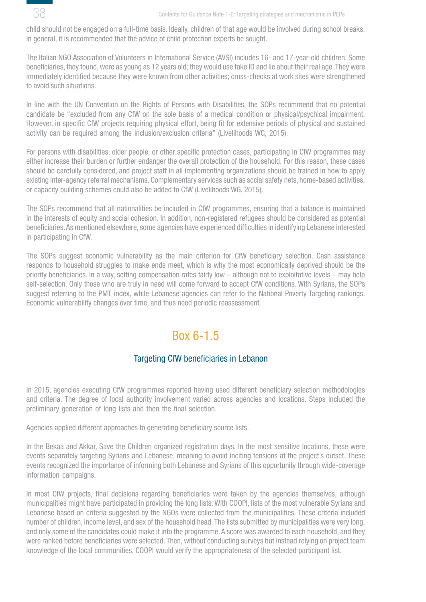<span id="page-37-0"></span>

child should not be engaged on a full-time basis. Ideally, children of that age would be involved during school breaks. In general, it is recommended that the advice of child protection experts be sought.

The Italian NGO Association of Volunteers in International Service (AVSI) includes 16- and 17-year-old children. Some beneficiaries, they found, were as young as 12 years old; they would use fake ID and lie about their real age. They were immediately identified because they were known from other activities; cross-checks at work sites were strengthened to avoid such situations.

In line with the UN Convention on the Rights of Persons with Disabilities, the SOPs recommend that no potential candidate be "excluded from any CfW on the sole basis of a medical condition or physical/psychical impairment. However, in specific CfW projects requiring physical effort, being fit for extensive periods of physical and sustained activity can be required among the inclusion/exclusion criteria" (Livelihoods WG, 2015).

For persons with disabilities, older people, or other specific protection cases, participating in CfW programmes may either increase their burden or further endanger the overall protection of the household. For this reason, these cases should be carefully considered, and project staff in all implementing organizations should be trained in how to apply existing inter-agency referral mechanisms. Complementary services such as social safety nets, home-based activities, or capacity building schemes could also be added to CfW (Livelihoods WG, 2015).

The SOPs recommend that all nationalities be included in CfW programmes, ensuring that a balance is maintained in the interests of equity and social cohesion. In addition, non-registered refugees should be considered as potential beneficiaries. As mentioned elsewhere, some agencies have experienced difficulties in identifying Lebanese interested in participating in CfW.

The SOPs suggest economic vulnerability as the main criterion for CfW beneficiary selection. Cash assistance responds to household struggles to make ends meet, which is why the most economically deprived should be the priority beneficiaries. In a way, setting compensation rates fairly low – although not to exploitative levels – may help self-selection. Only those who are truly in need will come forward to accept CfW conditions. With Syrians, the SOPs suggest referring to the PMT index, while Lebanese agencies can refer to the National Poverty Targeting rankings. Economic vulnerability changes over time, and thus need periodic reassessment.

## Box 6-1.5

## Targeting CfW beneficiaries in Lebanon

In 2015, agencies executing CfW programmes reported having used different beneficiary selection methodologies and criteria. The degree of local authority involvement varied across agencies and locations. Steps included the preliminary generation of long lists and then the final selection.

Agencies applied different approaches to generating beneficiary source lists.

In the Bekaa and Akkar, Save the Children organized registration days. In the most sensitive locations, these were events separately targeting Syrians and Lebanese, meaning to avoid inciting tensions at the project's outset. These events recognized the importance of informing both Lebanese and Syrians of this opportunity through wide-coverage information campaigns.

In most CfW projects, final decisions regarding beneficiaries were taken by the agencies themselves, although municipalities might have participated in providing the long lists. With COOPI, lists of the most vulnerable Syrians and Lebanese based on criteria suggested by the NGOs were collected from the municipalities. These criteria included number of children, income level, and sex of the household head. The lists submitted by municipalities were very long, and only some of the candidates could make it into the programme. A score was awarded to each household, and they were ranked before beneficiaries were selected. Then, without conducting surveys but instead relying on project team knowledge of the local communities, COOPI would verify the appropriateness of the selected participant list.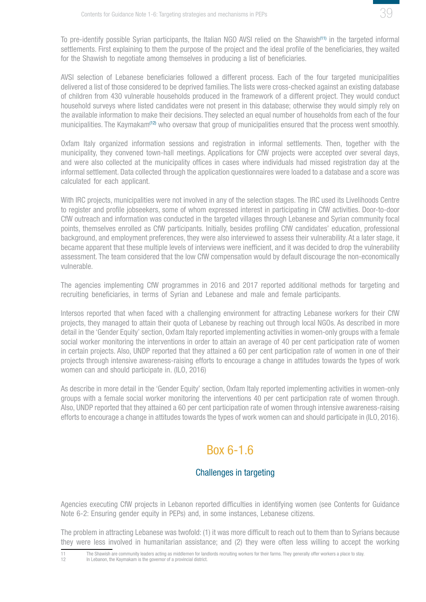

<span id="page-38-0"></span>To pre-identify possible Syrian participants, the Italian NGO AVSI relied on the Shawish(11) in the targeted informal settlements. First explaining to them the purpose of the project and the ideal profile of the beneficiaries, they waited for the Shawish to negotiate among themselves in producing a list of beneficiaries.

AVSI selection of Lebanese beneficiaries followed a different process. Each of the four targeted municipalities delivered a list of those considered to be deprived families. The lists were cross-checked against an existing database of children from 430 vulnerable households produced in the framework of a different project. They would conduct household surveys where listed candidates were not present in this database; otherwise they would simply rely on the available information to make their decisions. They selected an equal number of households from each of the four municipalities. The Kaymakam<sup>(12)</sup> who oversaw that group of municipalities ensured that the process went smoothly.

Oxfam Italy organized information sessions and registration in informal settlements. Then, together with the municipality, they convened town-hall meetings. Applications for CfW projects were accepted over several days, and were also collected at the municipality offices in cases where individuals had missed registration day at the informal settlement. Data collected through the application questionnaires were loaded to a database and a score was calculated for each applicant.

With IRC projects, municipalities were not involved in any of the selection stages. The IRC used its Livelihoods Centre to register and profile jobseekers, some of whom expressed interest in participating in CfW activities. Door-to-door CfW outreach and information was conducted in the targeted villages through Lebanese and Syrian community focal points, themselves enrolled as CfW participants. Initially, besides profiling CfW candidates' education, professional background, and employment preferences, they were also interviewed to assess their vulnerability. At a later stage, it became apparent that these multiple levels of interviews were inefficient, and it was decided to drop the vulnerability assessment. The team considered that the low CfW compensation would by default discourage the non-economically vulnerable.

The agencies implementing CfW programmes in 2016 and 2017 reported additional methods for targeting and recruiting beneficiaries, in terms of Syrian and Lebanese and male and female participants.

Intersos reported that when faced with a challenging environment for attracting Lebanese workers for their CfW projects, they managed to attain their quota of Lebanese by reaching out through local NGOs. As described in more detail in the 'Gender Equity' section, Oxfam Italy reported implementing activities in women-only groups with a female social worker monitoring the interventions in order to attain an average of 40 per cent participation rate of women in certain projects. Also, UNDP reported that they attained a 60 per cent participation rate of women in one of their projects through intensive awareness-raising efforts to encourage a change in attitudes towards the types of work women can and should participate in. (ILO, 2016)

As describe in more detail in the 'Gender Equity' section, Oxfam Italy reported implementing activities in women-only groups with a female social worker monitoring the interventions 40 per cent participation rate of women through. Also, UNDP reported that they attained a 60 per cent participation rate of women through intensive awareness-raising efforts to encourage a change in attitudes towards the types of work women can and should participate in (ILO, 2016).

## Box 6-1.6

## Challenges in targeting

Agencies executing CfW projects in Lebanon reported difficulties in identifying women (see Contents for Guidance Note 6-2: Ensuring gender equity in PEPs) and, in some instances, Lebanese citizens.

The problem in attracting Lebanese was twofold: (1) it was more difficult to reach out to them than to Syrians because they were less involved in humanitarian assistance; and (2) they were often less willing to accept the working

<sup>11</sup> The Shawish are community leaders acting as middlemen for landlords recruiting workers for their farms. They generally offer workers a place to stay.<br>12 In Lebanon, the Kaymakam is the governor of a provincial district. In Lebanon, the Kaymakam is the governor of a provincial district.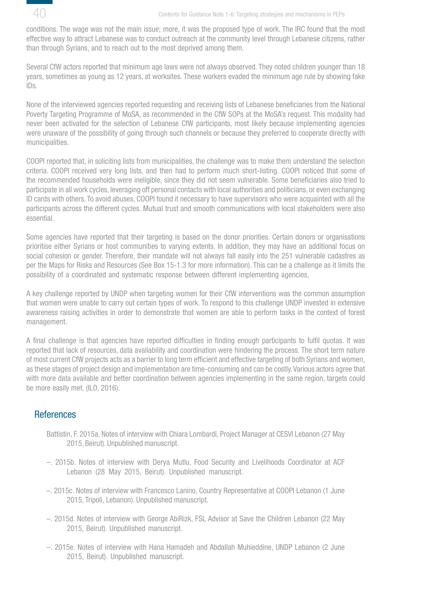<span id="page-39-0"></span>

conditions. The wage was not the main issue; more, it was the proposed type of work. The IRC found that the most effective way to attract Lebanese was to conduct outreach at the community level through Lebanese citizens, rather than through Syrians, and to reach out to the most deprived among them.

Several CfW actors reported that minimum age laws were not always observed. They noted children younger than 18 years, sometimes as young as 12 years, at worksites. These workers evaded the minimum age rule by showing fake IDs.

None of the interviewed agencies reported requesting and receiving lists of Lebanese beneficiaries from the National Poverty Targeting Programme of MoSA, as recommended in the CfW SOPs at the MoSA's request. This modality had never been activated for the selection of Lebanese CfW participants, most likely because implementing agencies were unaware of the possibility of going through such channels or because they preferred to cooperate directly with municipalities.

COOPI reported that, in soliciting lists from municipalities, the challenge was to make them understand the selection criteria. COOPI received very long lists, and then had to perform much short-listing. COOPI noticed that some of the recommended households were ineligible, since they did not seem vulnerable. Some beneficiaries also tried to participate in all work cycles, leveraging off personal contacts with local authorities and politicians, or even exchanging ID cards with others. To avoid abuses, COOPI found it necessary to have supervisors who were acquainted with all the participants across the different cycles. Mutual trust and smooth communications with local stakeholders were also essential.

Some agencies have reported that their targeting is based on the donor priorities. Certain donors or organisations prioritise either Syrians or host communities to varying extents. In addition, they may have an additional focus on social cohesion or gender. Therefore, their mandate will not always fall easily into the 251 vulnerable cadastres as per the Maps for Risks and Resources (See Box 15-1.3 for more information). This can be a challenge as it limits the possibility of a coordinated and systematic response between different implementing agencies,

A key challenge reported by UNDP when targeting women for their CfW interventions was the common assumption that women were unable to carry out certain types of work. To respond to this challenge UNDP invested in extensive awareness raising activities in order to demonstrate that women are able to perform tasks in the context of forest management.

A final challenge is that agencies have reported difficulties in finding enough participants to fulfil quotas. It was reported that lack of resources, data availability and coordination were hindering the process. The short term nature of most current CfW projects acts as a barrier to long term efficient and effective targeting of both Syrians and women, as these stages of project design and implementation are time-consuming and can be costly. Various actors agree that with more data available and better coordination between agencies implementing in the same region, targets could be more easily met. (ILO, 2016).

## **References**

- Battistin, F. 2015a. Notes of interview with Chiara Lombardi, Project Manager at CESVI Lebanon (27 May 2015, Beirut). Unpublished manuscript.
- –. 2015b. Notes of interview with Derya Mutlu, Food Security and Livelihoods Coordinator at ACF Lebanon (28 May 2015, Beirut). Unpublished manuscript.
- –. 2015c. Notes of interview with Francesco Lanino, Country Representative at COOPI Lebanon (1 June 2015, Tripoli, Lebanon). Unpublished manuscript.
- –. 2015d. Notes of interview with George AbiRizk, FSL Advisor at Save the Children Lebanon (22 May 2015, Beirut). Unpublished manuscript.
- –. 2015e. Notes of interview with Hana Hamadeh and Abdallah Muhieddine, UNDP Lebanon (2 June 2015, Beirut). Unpublished manuscript.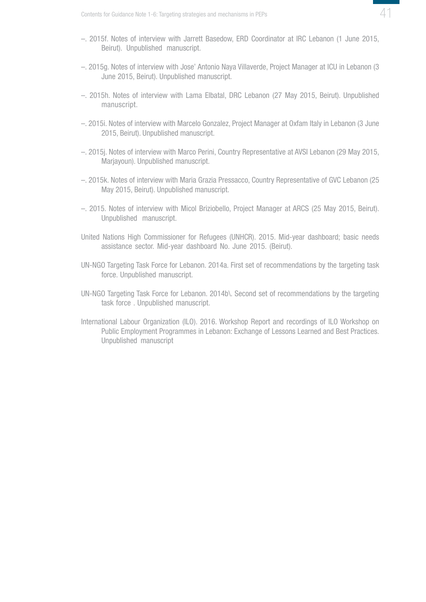

- –. 2015f. Notes of interview with Jarrett Basedow, ERD Coordinator at IRC Lebanon (1 June 2015, Beirut). Unpublished manuscript.
- –. 2015g. Notes of interview with Jose' Antonio Naya Villaverde, Project Manager at ICU in Lebanon (3 June 2015, Beirut). Unpublished manuscript.
- –. 2015h. Notes of interview with Lama Elbatal, DRC Lebanon (27 May 2015, Beirut). Unpublished manuscript.
- –. 2015i. Notes of interview with Marcelo Gonzalez, Project Manager at Oxfam Italy in Lebanon (3 June 2015, Beirut). Unpublished manuscript.
- –. 2015j. Notes of interview with Marco Perini, Country Representative at AVSI Lebanon (29 May 2015, Marjayoun). Unpublished manuscript.
- –. 2015k. Notes of interview with Maria Grazia Pressacco, Country Representative of GVC Lebanon (25 May 2015, Beirut). Unpublished manuscript.
- –. 2015. Notes of interview with Micol Briziobello, Project Manager at ARCS (25 May 2015, Beirut). Unpublished manuscript.
- United Nations High Commissioner for Refugees (UNHCR). 2015. Mid-year dashboard; basic needs assistance sector. Mid-year dashboard No. June 2015. (Beirut).
- UN-NGO Targeting Task Force for Lebanon. 2014a. First set of recommendations by the targeting task force. Unpublished manuscript.
- UN-NGO Targeting Task Force for Lebanon. 2014b\. Second set of recommendations by the targeting task force . Unpublished manuscript.
- International Labour Organization (ILO). 2016. Workshop Report and recordings of ILO Workshop on Public Employment Programmes in Lebanon: Exchange of Lessons Learned and Best Practices. Unpublished manuscript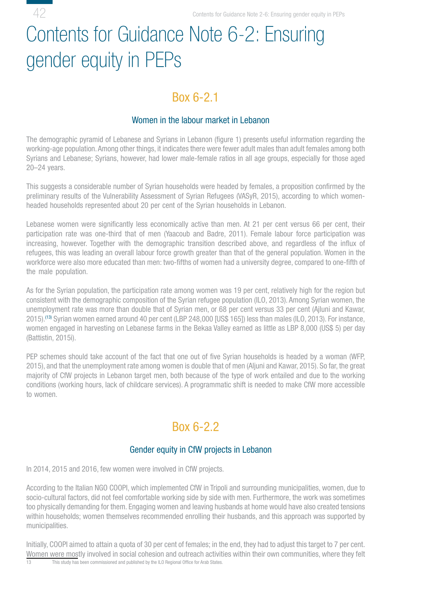# <span id="page-41-0"></span>Contents for Guidance Note 6-2: Ensuring gender equity in PEPs

42

## Box 6-2.1

## Women in the labour market in Lebanon

The demographic pyramid of Lebanese and Syrians in Lebanon (figure 1) presents useful information regarding the working-age population. Among other things, it indicates there were fewer adult males than adult females among both Syrians and Lebanese; Syrians, however, had lower male-female ratios in all age groups, especially for those aged 20–24 years.

This suggests a considerable number of Syrian households were headed by females, a proposition confirmed by the preliminary results of the Vulnerability Assessment of Syrian Refugees (VASyR, 2015), according to which womenheaded households represented about 20 per cent of the Syrian households in Lebanon.

Lebanese women were significantly less economically active than men. At 21 per cent versus 66 per cent, their participation rate was one-third that of men (Yaacoub and Badre, 2011). Female labour force participation was increasing, however. Together with the demographic transition described above, and regardless of the influx of refugees, this was leading an overall labour force growth greater than that of the general population. Women in the workforce were also more educated than men: two-fifths of women had a university degree, compared to one-fifth of the male population.

As for the Syrian population, the participation rate among women was 19 per cent, relatively high for the region but consistent with the demographic composition of the Syrian refugee population (ILO, 2013). Among Syrian women, the unemployment rate was more than double that of Syrian men, or 68 per cent versus 33 per cent (Ajluni and Kawar, 2015).(13) Syrian women earned around 40 per cent (LBP 248,000 [US\$ 165]) less than males (ILO, 2013). For instance, women engaged in harvesting on Lebanese farms in the Bekaa Valley earned as little as LBP 8,000 (US\$ 5) per day (Battistin, 2015i).

PEP schemes should take account of the fact that one out of five Syrian households is headed by a woman (WFP, 2015), and that the unemployment rate among women is double that of men (Aljuni and Kawar, 2015). So far, the great majority of CfW projects in Lebanon target men, both because of the type of work entailed and due to the working conditions (working hours, lack of childcare services). A programmatic shift is needed to make CfW more accessible to women.

## Box 6-2.2

## Gender equity in CfW projects in Lebanon

In 2014, 2015 and 2016, few women were involved in CfW projects.

According to the Italian NGO COOPI, which implemented CfW in Tripoli and surrounding municipalities, women, due to socio-cultural factors, did not feel comfortable working side by side with men. Furthermore, the work was sometimes too physically demanding for them. Engaging women and leaving husbands at home would have also created tensions within households; women themselves recommended enrolling their husbands, and this approach was supported by municipalities.

Initially, COOPI aimed to attain a quota of 30 per cent of females; in the end, they had to adjust this target to 7 per cent. Women were mostly involved in social cohesion and outreach activities within their own communities, where they felt  $\frac{13}{13}$  This study has been commissioned and oublished by the ILO Regional Office for Arab States. This study has been commissioned and published by the ILO Regional Office for Arab States.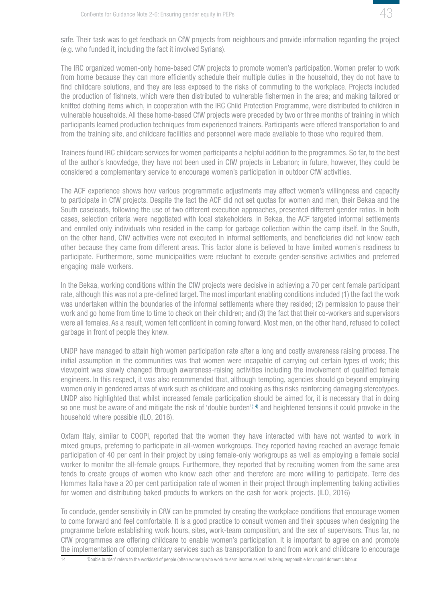

safe. Their task was to get feedback on CfW projects from neighbours and provide information regarding the project (e.g. who funded it, including the fact it involved Syrians).

The IRC organized women-only home-based CfW projects to promote women's participation. Women prefer to work from home because they can more efficiently schedule their multiple duties in the household, they do not have to find childcare solutions, and they are less exposed to the risks of commuting to the workplace. Projects included the production of fishnets, which were then distributed to vulnerable fishermen in the area; and making tailored or knitted clothing items which, in cooperation with the IRC Child Protection Programme, were distributed to children in vulnerable households. All these home-based CfW projects were preceded by two or three months of training in which participants learned production techniques from experienced trainers. Participants were offered transportation to and from the training site, and childcare facilities and personnel were made available to those who required them.

Trainees found IRC childcare services for women participants a helpful addition to the programmes. So far, to the best of the author's knowledge, they have not been used in CfW projects in Lebanon; in future, however, they could be considered a complementary service to encourage women's participation in outdoor CfW activities.

The ACF experience shows how various programmatic adjustments may affect women's willingness and capacity to participate in CfW projects. Despite the fact the ACF did not set quotas for women and men, their Bekaa and the South caseloads, following the use of two different execution approaches, presented different gender ratios. In both cases, selection criteria were negotiated with local stakeholders. In Bekaa, the ACF targeted informal settlements and enrolled only individuals who resided in the camp for garbage collection within the camp itself. In the South, on the other hand, CfW activities were not executed in informal settlements, and beneficiaries did not know each other because they came from different areas. This factor alone is believed to have limited women's readiness to participate. Furthermore, some municipalities were reluctant to execute gender-sensitive activities and preferred engaging male workers.

In the Bekaa, working conditions within the CfW projects were decisive in achieving a 70 per cent female participant rate, although this was not a pre-defined target. The most important enabling conditions included (1) the fact the work was undertaken within the boundaries of the informal settlements where they resided; (2) permission to pause their work and go home from time to time to check on their children; and (3) the fact that their co-workers and supervisors were all females. As a result, women felt confident in coming forward. Most men, on the other hand, refused to collect garbage in front of people they knew.

UNDP have managed to attain high women participation rate after a long and costly awareness raising process. The initial assumption in the communities was that women were incapable of carrying out certain types of work; this viewpoint was slowly changed through awareness-raising activities including the involvement of qualified female engineers. In this respect, it was also recommended that, although tempting, agencies should go beyond employing women only in gendered areas of work such as childcare and cooking as this risks reinforcing damaging stereotypes. UNDP also highlighted that whilst increased female participation should be aimed for, it is necessary that in doing so one must be aware of and mitigate the risk of 'double burden'<sup>(14)</sup> and heightened tensions it could provoke in the household where possible (ILO, 2016).

Oxfam Italy, similar to COOPI, reported that the women they have interacted with have not wanted to work in mixed groups, preferring to participate in all-women workgroups. They reported having reached an average female participation of 40 per cent in their project by using female-only workgroups as well as employing a female social worker to monitor the all-female groups. Furthermore, they reported that by recruiting women from the same area tends to create groups of women who know each other and therefore are more willing to participate. Terre des Hommes Italia have a 20 per cent participation rate of women in their project through implementing baking activities for women and distributing baked products to workers on the cash for work projects. (ILO, 2016)

To conclude, gender sensitivity in CfW can be promoted by creating the workplace conditions that encourage women to come forward and feel comfortable. It is a good practice to consult women and their spouses when designing the programme before establishing work hours, sites, work-team composition, and the sex of supervisors. Thus far, no CfW programmes are offering childcare to enable women's participation. It is important to agree on and promote the implementation of complementary services such as transportation to and from work and childcare to encourage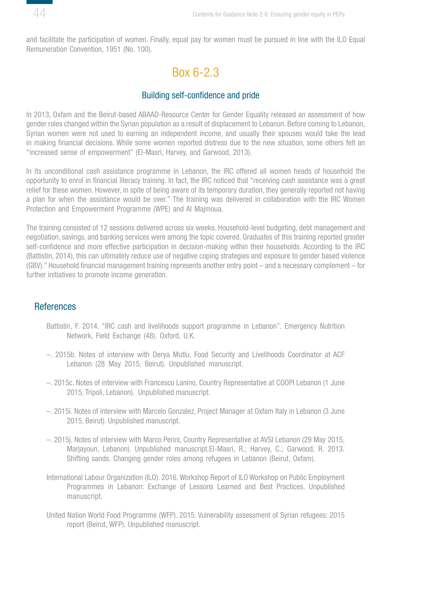<span id="page-43-0"></span>

and facilitate the participation of women. Finally, equal pay for women must be pursued in line with the ILO Equal Remuneration Convention, 1951 (No. 100).

## Box 6-2.3

#### Building self-confidence and pride

In 2013, Oxfam and the Beirut-based ABAAD-Resource Center for Gender Equality released an assessment of how gender roles changed within the Syrian population as a result of displacement to Lebanon. Before coming to Lebanon, Syrian women were not used to earning an independent income, and usually their spouses would take the lead in making financial decisions. While some women reported distress due to the new situation, some others felt an "increased sense of empowerment" (El-Masri, Harvey, and Garwood, 2013).

In its unconditional cash assistance programme in Lebanon, the IRC offered all women heads of household the opportunity to enrol in financial literacy training. In fact, the IRC noticed that "receiving cash assistance was a great relief for these women. However, in spite of being aware of its temporary duration, they generally reported not having a plan for when the assistance would be over." The training was delivered in collaboration with the IRC Women Protection and Empowerment Programme (WPE) and Al Majmoua.

The training consisted of 12 sessions delivered across six weeks. Household-level budgeting, debt management and negotiation, savings, and banking services were among the topic covered. Graduates of this training reported greater self-confidence and more effective participation in decision-making within their households. According to the IRC (Battistin, 2014), this can ultimately reduce use of negative coping strategies and exposure to gender based violence (GBV)." Household financial management training represents another entry point – and a necessary complement – for further initiatives to promote income generation.

#### **References**

- Battistin, F. 2014. "IRC cash and livelihoods support programme in Lebanon". Emergency Nutrition Network, Field Exchange (48). Oxford, U.K.
- –. 2015b. Notes of interview with Derya Mutlu, Food Security and Livelihoods Coordinator at ACF Lebanon (28 May 2015, Beirut). Unpublished manuscript.
- –. 2015c. Notes of interview with Francesco Lanino, Country Representative at COOPI Lebanon (1 June 2015, Tripoli, Lebanon). Unpublished manuscript.
- –. 2015i. Notes of interview with Marcelo Gonzalez, Project Manager at Oxfam Italy in Lebanon (3 June 2015, Beirut). Unpublished manuscript.
- –. 2015j. Notes of interview with Marco Perini, Country Representative at AVSI Lebanon (29 May 2015, Marjayoun, Lebanon). Unpublished manuscript.El-Masri, R.; Harvey, C.; Garwood, R. 2013. Shifting sands. Changing gender roles among refugees in Lebanon (Beirut, Oxfam).
- International Labour Organization (ILO). 2016. Workshop Report of ILO Workshop on Public Employment Programmes in Lebanon: Exchange of Lessons Learned and Best Practices. Unpublished manuscript.
- United Nation World Food Programme (WFP). 2015. Vulnerability assessment of Syrian refugees: 2015 report (Beirut, WFP). Unpublished manuscript.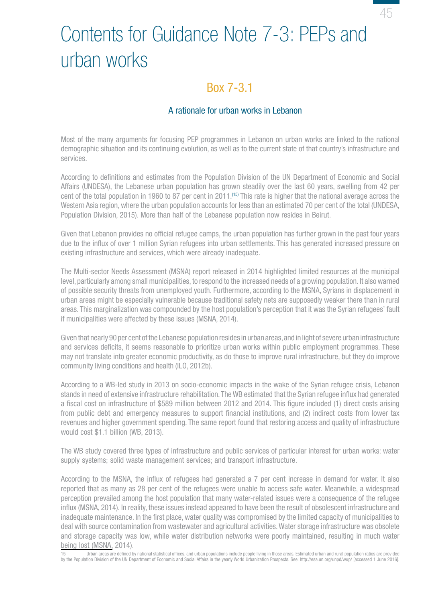# <span id="page-44-0"></span>Contents for Guidance Note 7-3: PEPs and urban works

## Box 7-3.1

### A rationale for urban works in Lebanon

Most of the many arguments for focusing PEP programmes in Lebanon on urban works are linked to the national demographic situation and its continuing evolution, as well as to the current state of that country's infrastructure and services.

According to definitions and estimates from the Population Division of the UN Department of Economic and Social Affairs (UNDESA), the Lebanese urban population has grown steadily over the last 60 years, swelling from 42 per cent of the total population in 1960 to 87 per cent in 2011.(15) This rate is higher that the national average across the Western Asia region, where the urban population accounts for less than an estimated 70 per cent of the total (UNDESA, Population Division, 2015). More than half of the Lebanese population now resides in Beirut.

Given that Lebanon provides no official refugee camps, the urban population has further grown in the past four years due to the influx of over 1 million Syrian refugees into urban settlements. This has generated increased pressure on existing infrastructure and services, which were already inadequate.

The Multi-sector Needs Assessment (MSNA) report released in 2014 highlighted limited resources at the municipal level, particularly among small municipalities, to respond to the increased needs of a growing population. It also warned of possible security threats from unemployed youth. Furthermore, according to the MSNA, Syrians in displacement in urban areas might be especially vulnerable because traditional safety nets are supposedly weaker there than in rural areas. This marginalization was compounded by the host population's perception that it was the Syrian refugees' fault if municipalities were affected by these issues (MSNA, 2014).

Given that nearly 90 per cent of the Lebanese population resides in urban areas, and in light of severe urban infrastructure and services deficits, it seems reasonable to prioritize urban works within public employment programmes. These may not translate into greater economic productivity, as do those to improve rural infrastructure, but they do improve community living conditions and health (ILO, 2012b).

According to a WB-led study in 2013 on socio-economic impacts in the wake of the Syrian refugee crisis, Lebanon stands in need of extensive infrastructure rehabilitation. The WB estimated that the Syrian refugee influx had generated a fiscal cost on infrastructure of \$589 million between 2012 and 2014. This figure included (1) direct costs arising from public debt and emergency measures to support financial institutions, and (2) indirect costs from lower tax revenues and higher government spending. The same report found that restoring access and quality of infrastructure would cost \$1.1 billion (WB, 2013).

The WB study covered three types of infrastructure and public services of particular interest for urban works: water supply systems; solid waste management services; and transport infrastructure.

According to the MSNA, the influx of refugees had generated a 7 per cent increase in demand for water. It also reported that as many as 28 per cent of the refugees were unable to access safe water. Meanwhile, a widespread perception prevailed among the host population that many water-related issues were a consequence of the refugee influx (MSNA, 2014). In reality, these issues instead appeared to have been the result of obsolescent infrastructure and inadequate maintenance. In the first place, water quality was compromised by the limited capacity of municipalities to deal with source contamination from wastewater and agricultural activities. Water storage infrastructure was obsolete and storage capacity was low, while water distribution networks were poorly maintained, resulting in much water being lost (MSNA, 2014).

15 Urban areas are defined by national statistical offices, and urban populations include people living in those areas. Estimated urban and rural population ratios are provided by the Population Division of the UN Department of Economic and Social Affairs in the yearly World Urbanization Prospects. See: http://esa.un.org/unpd/wup/ [accessed 1 June 2016].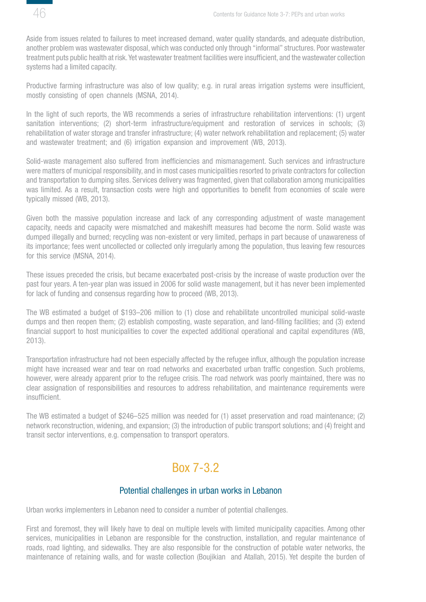<span id="page-45-0"></span>

Aside from issues related to failures to meet increased demand, water quality standards, and adequate distribution, another problem was wastewater disposal, which was conducted only through "informal" structures. Poor wastewater treatment puts public health at risk. Yet wastewater treatment facilities were insufficient, and the wastewater collection systems had a limited capacity.

Productive farming infrastructure was also of low quality; e.g. in rural areas irrigation systems were insufficient, mostly consisting of open channels (MSNA, 2014).

In the light of such reports, the WB recommends a series of infrastructure rehabilitation interventions: (1) urgent sanitation interventions; (2) short-term infrastructure/equipment and restoration of services in schools; (3) rehabilitation of water storage and transfer infrastructure; (4) water network rehabilitation and replacement; (5) water and wastewater treatment; and (6) irrigation expansion and improvement (WB, 2013).

Solid-waste management also suffered from inefficiencies and mismanagement. Such services and infrastructure were matters of municipal responsibility, and in most cases municipalities resorted to private contractors for collection and transportation to dumping sites. Services delivery was fragmented, given that collaboration among municipalities was limited. As a result, transaction costs were high and opportunities to benefit from economies of scale were typically missed (WB, 2013).

Given both the massive population increase and lack of any corresponding adjustment of waste management capacity, needs and capacity were mismatched and makeshift measures had become the norm. Solid waste was dumped illegally and burned; recycling was non-existent or very limited, perhaps in part because of unawareness of its importance; fees went uncollected or collected only irregularly among the population, thus leaving few resources for this service (MSNA, 2014).

These issues preceded the crisis, but became exacerbated post-crisis by the increase of waste production over the past four years. A ten-year plan was issued in 2006 for solid waste management, but it has never been implemented for lack of funding and consensus regarding how to proceed (WB, 2013).

The WB estimated a budget of \$193–206 million to (1) close and rehabilitate uncontrolled municipal solid-waste dumps and then reopen them; (2) establish composting, waste separation, and land-filling facilities; and (3) extend financial support to host municipalities to cover the expected additional operational and capital expenditures (WB, 2013).

Transportation infrastructure had not been especially affected by the refugee influx, although the population increase might have increased wear and tear on road networks and exacerbated urban traffic congestion. Such problems, however, were already apparent prior to the refugee crisis. The road network was poorly maintained, there was no clear assignation of responsibilities and resources to address rehabilitation, and maintenance requirements were insufficient.

The WB estimated a budget of \$246–525 million was needed for (1) asset preservation and road maintenance; (2) network reconstruction, widening, and expansion; (3) the introduction of public transport solutions; and (4) freight and transit sector interventions, e.g. compensation to transport operators.

# Box 7-3.2

#### Potential challenges in urban works in Lebanon

Urban works implementers in Lebanon need to consider a number of potential challenges.

First and foremost, they will likely have to deal on multiple levels with limited municipality capacities. Among other services, municipalities in Lebanon are responsible for the construction, installation, and regular maintenance of roads, road lighting, and sidewalks. They are also responsible for the construction of potable water networks, the maintenance of retaining walls, and for waste collection (Boujikian and Atallah, 2015). Yet despite the burden of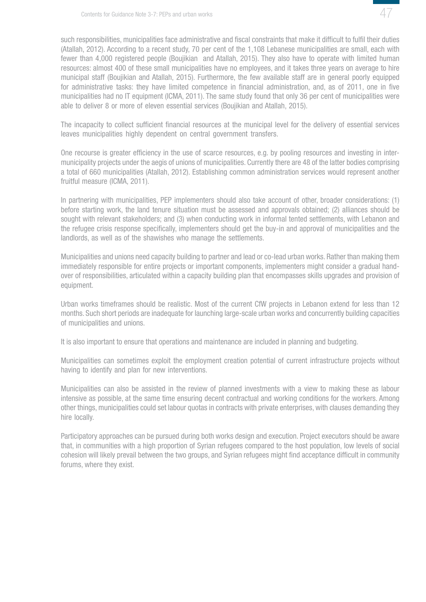

such responsibilities, municipalities face administrative and fiscal constraints that make it difficult to fulfil their duties (Atallah, 2012). According to a recent study, 70 per cent of the 1,108 Lebanese municipalities are small, each with fewer than 4,000 registered people (Boujikian and Atallah, 2015). They also have to operate with limited human resources: almost 400 of these small municipalities have no employees, and it takes three years on average to hire municipal staff (Boujikian and Atallah, 2015). Furthermore, the few available staff are in general poorly equipped for administrative tasks: they have limited competence in financial administration, and, as of 2011, one in five municipalities had no IT equipment (ICMA, 2011). The same study found that only 36 per cent of municipalities were able to deliver 8 or more of eleven essential services (Boujikian and Atallah, 2015).

The incapacity to collect sufficient financial resources at the municipal level for the delivery of essential services leaves municipalities highly dependent on central government transfers.

One recourse is greater efficiency in the use of scarce resources, e.g. by pooling resources and investing in intermunicipality projects under the aegis of unions of municipalities. Currently there are 48 of the latter bodies comprising a total of 660 municipalities (Atallah, 2012). Establishing common administration services would represent another fruitful measure (ICMA, 2011).

In partnering with municipalities, PEP implementers should also take account of other, broader considerations: (1) before starting work, the land tenure situation must be assessed and approvals obtained; (2) alliances should be sought with relevant stakeholders; and (3) when conducting work in informal tented settlements, with Lebanon and the refugee crisis response specifically, implementers should get the buy-in and approval of municipalities and the landlords, as well as of the shawishes who manage the settlements.

Municipalities and unions need capacity building to partner and lead or co-lead urban works. Rather than making them immediately responsible for entire projects or important components, implementers might consider a gradual handover of responsibilities, articulated within a capacity building plan that encompasses skills upgrades and provision of equipment.

Urban works timeframes should be realistic. Most of the current CfW projects in Lebanon extend for less than 12 months. Such short periods are inadequate for launching large-scale urban works and concurrently building capacities of municipalities and unions.

It is also important to ensure that operations and maintenance are included in planning and budgeting.

Municipalities can sometimes exploit the employment creation potential of current infrastructure projects without having to identify and plan for new interventions.

Municipalities can also be assisted in the review of planned investments with a view to making these as labour intensive as possible, at the same time ensuring decent contractual and working conditions for the workers. Among other things, municipalities could set labour quotas in contracts with private enterprises, with clauses demanding they hire locally.

Participatory approaches can be pursued during both works design and execution. Project executors should be aware that, in communities with a high proportion of Syrian refugees compared to the host population, low levels of social cohesion will likely prevail between the two groups, and Syrian refugees might find acceptance difficult in community forums, where they exist.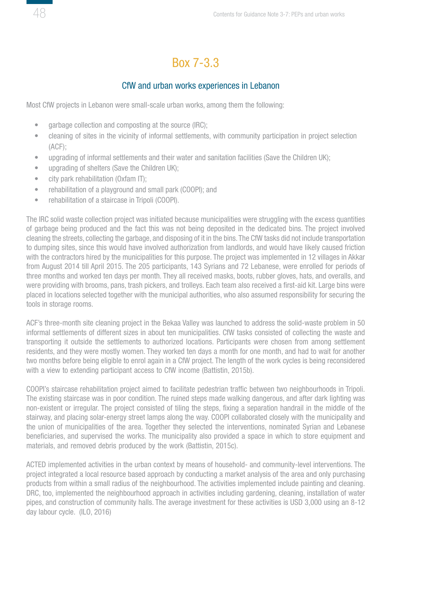# Box 7-3.3

### CfW and urban works experiences in Lebanon

<span id="page-47-0"></span>Most CfW projects in Lebanon were small-scale urban works, among them the following:

- garbage collection and composting at the source (IRC);
- cleaning of sites in the vicinity of informal settlements, with community participation in project selection (ACF);
- upgrading of informal settlements and their water and sanitation facilities (Save the Children UK);
- upgrading of shelters (Save the Children UK);
- city park rehabilitation (Oxfam IT);
- rehabilitation of a playground and small park (COOPI); and
- rehabilitation of a staircase in Tripoli (COOPI).

The IRC solid waste collection project was initiated because municipalities were struggling with the excess quantities of garbage being produced and the fact this was not being deposited in the dedicated bins. The project involved cleaning the streets, collecting the garbage, and disposing of it in the bins. The CfW tasks did not include transportation to dumping sites, since this would have involved authorization from landlords, and would have likely caused friction with the contractors hired by the municipalities for this purpose. The project was implemented in 12 villages in Akkar from August 2014 till April 2015. The 205 participants, 143 Syrians and 72 Lebanese, were enrolled for periods of three months and worked ten days per month. They all received masks, boots, rubber gloves, hats, and overalls, and were providing with brooms, pans, trash pickers, and trolleys. Each team also received a first-aid kit. Large bins were placed in locations selected together with the municipal authorities, who also assumed responsibility for securing the tools in storage rooms.

ACF's three-month site cleaning project in the Bekaa Valley was launched to address the solid-waste problem in 50 informal settlements of different sizes in about ten municipalities. CfW tasks consisted of collecting the waste and transporting it outside the settlements to authorized locations. Participants were chosen from among settlement residents, and they were mostly women. They worked ten days a month for one month, and had to wait for another two months before being eligible to enrol again in a CfW project. The length of the work cycles is being reconsidered with a view to extending participant access to CfW income (Battistin, 2015b).

COOPI's staircase rehabilitation project aimed to facilitate pedestrian traffic between two neighbourhoods in Tripoli. The existing staircase was in poor condition. The ruined steps made walking dangerous, and after dark lighting was non-existent or irregular. The project consisted of tiling the steps, fixing a separation handrail in the middle of the stairway, and placing solar-energy street lamps along the way. COOPI collaborated closely with the municipality and the union of municipalities of the area. Together they selected the interventions, nominated Syrian and Lebanese beneficiaries, and supervised the works. The municipality also provided a space in which to store equipment and materials, and removed debris produced by the work (Battistin, 2015c).

ACTED implemented activities in the urban context by means of household- and community-level interventions. The project integrated a local resource based approach by conducting a market analysis of the area and only purchasing products from within a small radius of the neighbourhood. The activities implemented include painting and cleaning. DRC, too, implemented the neighbourhood approach in activities including gardening, cleaning, installation of water pipes, and construction of community halls. The average investment for these activities is USD 3,000 using an 8-12 day labour cycle. (ILO, 2016)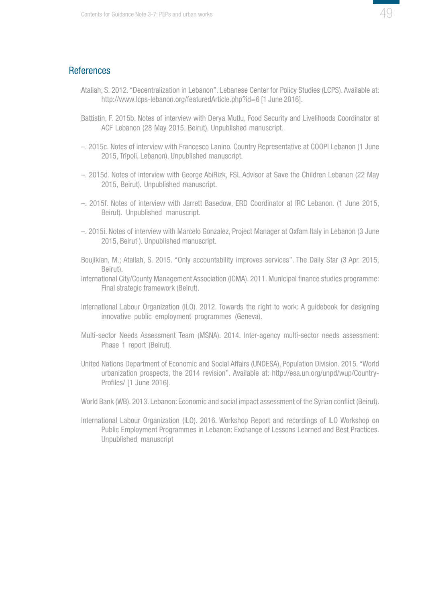#### <span id="page-48-0"></span>References

- Atallah, S. 2012. "Decentralization in Lebanon". Lebanese Center for Policy Studies (LCPS). Available at: http://www.lcps-lebanon.org/featuredArticle.php?id=6 [1 June 2016].
- Battistin, F. 2015b. Notes of interview with Derya Mutlu, Food Security and Livelihoods Coordinator at ACF Lebanon (28 May 2015, Beirut). Unpublished manuscript.
- –. 2015c. Notes of interview with Francesco Lanino, Country Representative at COOPI Lebanon (1 June 2015, Tripoli, Lebanon). Unpublished manuscript.
- –. 2015d. Notes of interview with George AbiRizk, FSL Advisor at Save the Children Lebanon (22 May 2015, Beirut). Unpublished manuscript.
- –. 2015f. Notes of interview with Jarrett Basedow, ERD Coordinator at IRC Lebanon. (1 June 2015, Beirut). Unpublished manuscript.
- –. 2015i. Notes of interview with Marcelo Gonzalez, Project Manager at Oxfam Italy in Lebanon (3 June 2015, Beirut ). Unpublished manuscript.
- Boujikian, M.; Atallah, S. 2015. "Only accountability improves services". The Daily Star (3 Apr. 2015, Beirut).
- International City/County Management Association (ICMA). 2011. Municipal finance studies programme: Final strategic framework (Beirut).
- International Labour Organization (ILO). 2012. Towards the right to work: A guidebook for designing innovative public employment programmes (Geneva).
- Multi-sector Needs Assessment Team (MSNA). 2014. Inter-agency multi-sector needs assessment: Phase 1 report (Beirut).
- United Nations Department of Economic and Social Affairs (UNDESA), Population Division. 2015. "World urbanization prospects, the 2014 revision". Available at: http://esa.un.org/unpd/wup/Country-Profiles/ [1 June 2016].
- World Bank (WB). 2013. Lebanon: Economic and social impact assessment of the Syrian conflict (Beirut).
- International Labour Organization (ILO). 2016. Workshop Report and recordings of ILO Workshop on Public Employment Programmes in Lebanon: Exchange of Lessons Learned and Best Practices. Unpublished manuscript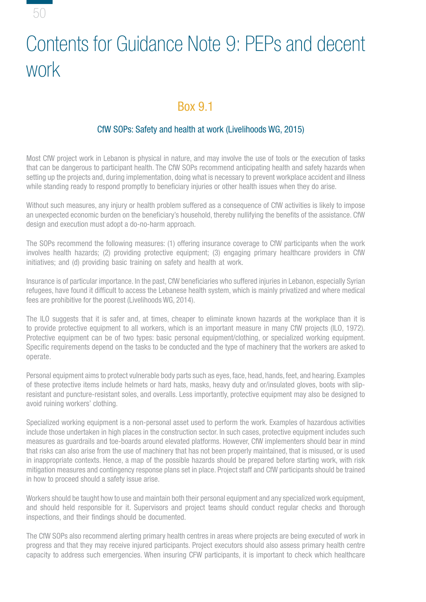<span id="page-49-0"></span>

# Contents for Guidance Note 9: PEPs and decent work

# Box 9.1

## CfW SOPs: Safety and health at work (Livelihoods WG, 2015)

Most CfW project work in Lebanon is physical in nature, and may involve the use of tools or the execution of tasks that can be dangerous to participant health. The CfW SOPs recommend anticipating health and safety hazards when setting up the projects and, during implementation, doing what is necessary to prevent workplace accident and illness while standing ready to respond promptly to beneficiary injuries or other health issues when they do arise.

Without such measures, any injury or health problem suffered as a consequence of CfW activities is likely to impose an unexpected economic burden on the beneficiary's household, thereby nullifying the benefits of the assistance. CfW design and execution must adopt a do-no-harm approach.

The SOPs recommend the following measures: (1) offering insurance coverage to CfW participants when the work involves health hazards; (2) providing protective equipment; (3) engaging primary healthcare providers in CfW initiatives; and (d) providing basic training on safety and health at work.

Insurance is of particular importance. In the past, CfW beneficiaries who suffered injuries in Lebanon, especially Syrian refugees, have found it difficult to access the Lebanese health system, which is mainly privatized and where medical fees are prohibitive for the poorest (Livelihoods WG, 2014).

The ILO suggests that it is safer and, at times, cheaper to eliminate known hazards at the workplace than it is to provide protective equipment to all workers, which is an important measure in many CfW projects (ILO, 1972). Protective equipment can be of two types: basic personal equipment/clothing, or specialized working equipment. Specific requirements depend on the tasks to be conducted and the type of machinery that the workers are asked to operate.

Personal equipment aims to protect vulnerable body parts such as eyes, face, head, hands, feet, and hearing. Examples of these protective items include helmets or hard hats, masks, heavy duty and or/insulated gloves, boots with slipresistant and puncture-resistant soles, and overalls. Less importantly, protective equipment may also be designed to avoid ruining workers' clothing.

Specialized working equipment is a non-personal asset used to perform the work. Examples of hazardous activities include those undertaken in high places in the construction sector. In such cases, protective equipment includes such measures as guardrails and toe-boards around elevated platforms. However, CfW implementers should bear in mind that risks can also arise from the use of machinery that has not been properly maintained, that is misused, or is used in inappropriate contexts. Hence, a map of the possible hazards should be prepared before starting work, with risk mitigation measures and contingency response plans set in place. Project staff and CfW participants should be trained in how to proceed should a safety issue arise.

Workers should be taught how to use and maintain both their personal equipment and any specialized work equipment, and should held responsible for it. Supervisors and project teams should conduct regular checks and thorough inspections, and their findings should be documented.

The CfW SOPs also recommend alerting primary health centres in areas where projects are being executed of work in progress and that they may receive injured participants. Project executors should also assess primary health centre capacity to address such emergencies. When insuring CFW participants, it is important to check which healthcare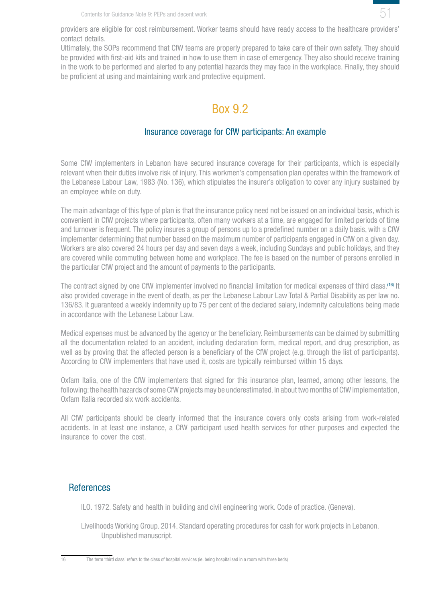

<span id="page-50-0"></span>providers are eligible for cost reimbursement. Worker teams should have ready access to the healthcare providers' contact details.

Ultimately, the SOPs recommend that CfW teams are properly prepared to take care of their own safety. They should be provided with first-aid kits and trained in how to use them in case of emergency. They also should receive training in the work to be performed and alerted to any potential hazards they may face in the workplace. Finally, they should be proficient at using and maintaining work and protective equipment.

# Box 9.2

### Insurance coverage for CfW participants: An example

Some CfW implementers in Lebanon have secured insurance coverage for their participants, which is especially relevant when their duties involve risk of injury. This workmen's compensation plan operates within the framework of the Lebanese Labour Law, 1983 (No. 136), which stipulates the insurer's obligation to cover any injury sustained by an employee while on duty.

The main advantage of this type of plan is that the insurance policy need not be issued on an individual basis, which is convenient in CfW projects where participants, often many workers at a time, are engaged for limited periods of time and turnover is frequent. The policy insures a group of persons up to a predefined number on a daily basis, with a CfW implementer determining that number based on the maximum number of participants engaged in CfW on a given day. Workers are also covered 24 hours per day and seven days a week, including Sundays and public holidays, and they are covered while commuting between home and workplace. The fee is based on the number of persons enrolled in the particular CfW project and the amount of payments to the participants.

The contract signed by one CfW implementer involved no financial limitation for medical expenses of third class.<sup>(16)</sup> It also provided coverage in the event of death, as per the Lebanese Labour Law Total & Partial Disability as per law no. 136/83. It guaranteed a weekly indemnity up to 75 per cent of the declared salary, indemnity calculations being made in accordance with the Lebanese Labour Law.

Medical expenses must be advanced by the agency or the beneficiary. Reimbursements can be claimed by submitting all the documentation related to an accident, including declaration form, medical report, and drug prescription, as well as by proving that the affected person is a beneficiary of the CfW project (e.g. through the list of participants). According to CfW implementers that have used it, costs are typically reimbursed within 15 days.

Oxfam Italia, one of the CfW implementers that signed for this insurance plan, learned, among other lessons, the following: the health hazards of some CfW projects may be underestimated. In about two months of CfW implementation, Oxfam Italia recorded six work accidents.

All CfW participants should be clearly informed that the insurance covers only costs arising from work-related accidents. In at least one instance, a CfW participant used health services for other purposes and expected the insurance to cover the cost.

## **References**

ILO. 1972. Safety and health in building and civil engineering work. Code of practice. (Geneva).

Livelihoods Working Group. 2014. Standard operating procedures for cash for work projects in Lebanon. Unpublished manuscript.

16 The term 'third class' refers to the class of hospital services (ie. being hospitalised in a room with three beds)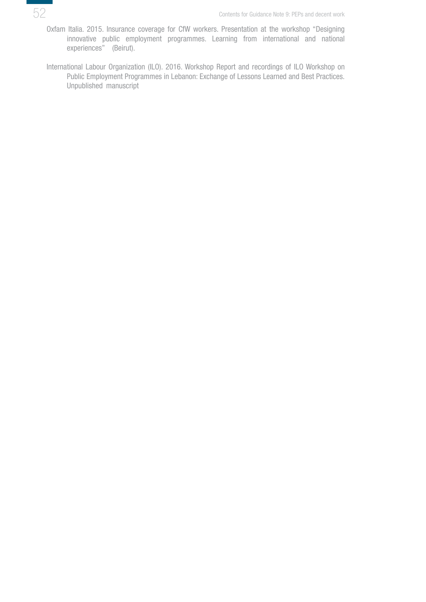

- Oxfam Italia. 2015. Insurance coverage for CfW workers. Presentation at the workshop "Designing innovative public employment programmes. Learning from international and national experiences" (Beirut).
- International Labour Organization (ILO). 2016. Workshop Report and recordings of ILO Workshop on Public Employment Programmes in Lebanon: Exchange of Lessons Learned and Best Practices. Unpublished manuscript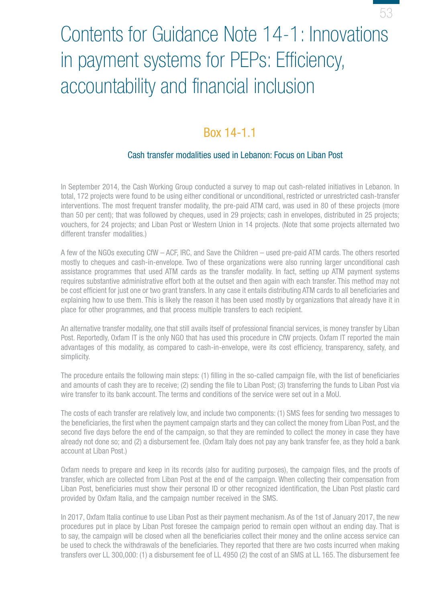# <span id="page-52-0"></span>Contents for Guidance Note 14-1: Innovations in payment systems for PEPs: Efficiency, accountability and financial inclusion

53

## Box 14-1.1

### Cash transfer modalities used in Lebanon: Focus on Liban Post

In September 2014, the Cash Working Group conducted a survey to map out cash-related initiatives in Lebanon. In total, 172 projects were found to be using either conditional or unconditional, restricted or unrestricted cash-transfer interventions. The most frequent transfer modality, the pre-paid ATM card, was used in 80 of these projects (more than 50 per cent); that was followed by cheques, used in 29 projects; cash in envelopes, distributed in 25 projects; vouchers, for 24 projects; and Liban Post or Western Union in 14 projects. (Note that some projects alternated two different transfer modalities.)

A few of the NGOs executing CfW – ACF, IRC, and Save the Children – used pre-paid ATM cards. The others resorted mostly to cheques and cash-in-envelope. Two of these organizations were also running larger unconditional cash assistance programmes that used ATM cards as the transfer modality. In fact, setting up ATM payment systems requires substantive administrative effort both at the outset and then again with each transfer. This method may not be cost efficient for just one or two grant transfers. In any case it entails distributing ATM cards to all beneficiaries and explaining how to use them. This is likely the reason it has been used mostly by organizations that already have it in place for other programmes, and that process multiple transfers to each recipient.

An alternative transfer modality, one that still avails itself of professional financial services, is money transfer by Liban Post. Reportedly, Oxfam IT is the only NGO that has used this procedure in CfW projects. Oxfam IT reported the main advantages of this modality, as compared to cash-in-envelope, were its cost efficiency, transparency, safety, and simplicity.

The procedure entails the following main steps: (1) filling in the so-called campaign file, with the list of beneficiaries and amounts of cash they are to receive; (2) sending the file to Liban Post; (3) transferring the funds to Liban Post via wire transfer to its bank account. The terms and conditions of the service were set out in a MoU.

The costs of each transfer are relatively low, and include two components: (1) SMS fees for sending two messages to the beneficiaries, the first when the payment campaign starts and they can collect the money from Liban Post, and the second five days before the end of the campaign, so that they are reminded to collect the money in case they have already not done so; and (2) a disbursement fee. (Oxfam Italy does not pay any bank transfer fee, as they hold a bank account at Liban Post.)

Oxfam needs to prepare and keep in its records (also for auditing purposes), the campaign files, and the proofs of transfer, which are collected from Liban Post at the end of the campaign. When collecting their compensation from Liban Post, beneficiaries must show their personal ID or other recognized identification, the Liban Post plastic card provided by Oxfam Italia, and the campaign number received in the SMS.

In 2017, Oxfam Italia continue to use Liban Post as their payment mechanism. As of the 1st of January 2017, the new procedures put in place by Liban Post foresee the campaign period to remain open without an ending day. That is to say, the campaign will be closed when all the beneficiaries collect their money and the online access service can be used to check the withdrawals of the beneficiaries. They reported that there are two costs incurred when making transfers over LL 300,000: (1) a disbursement fee of LL 4950 (2) the cost of an SMS at LL 165. The disbursement fee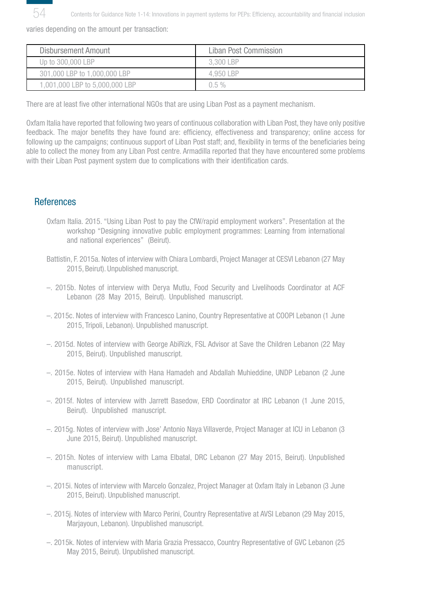<span id="page-53-0"></span>

Contents for Guidance Note 1-14: Innovations in payment systems for PEPs: Efficiency, accountability and financial inclusion

varies depending on the amount per transaction:

| Disbursement Amount            | Liban Post Commission |
|--------------------------------|-----------------------|
| Up to 300,000 LBP              | 3.300 LBP             |
| 301,000 LBP to 1,000,000 LBP   | 4.950 I BP            |
| 1,001,000 LBP to 5,000,000 LBP | $0.5 \%$              |

There are at least five other international NGOs that are using Liban Post as a payment mechanism.

Oxfam Italia have reported that following two years of continuous collaboration with Liban Post, they have only positive feedback. The major benefits they have found are: efficiency, effectiveness and transparency; online access for following up the campaigns; continuous support of Liban Post staff; and, flexibility in terms of the beneficiaries being able to collect the money from any Liban Post centre. Armadilla reported that they have encountered some problems with their Liban Post payment system due to complications with their identification cards.

## References

- Oxfam Italia. 2015. "Using Liban Post to pay the CfW/rapid employment workers". Presentation at the workshop "Designing innovative public employment programmes: Learning from international and national experiences" (Beirut).
- Battistin, F. 2015a. Notes of interview with Chiara Lombardi, Project Manager at CESVI Lebanon (27 May 2015, Beirut). Unpublished manuscript.
- –. 2015b. Notes of interview with Derya Mutlu, Food Security and Livelihoods Coordinator at ACF Lebanon (28 May 2015, Beirut). Unpublished manuscript.
- –. 2015c. Notes of interview with Francesco Lanino, Country Representative at COOPI Lebanon (1 June 2015, Tripoli, Lebanon). Unpublished manuscript.
- –. 2015d. Notes of interview with George AbiRizk, FSL Advisor at Save the Children Lebanon (22 May 2015, Beirut). Unpublished manuscript.
- –. 2015e. Notes of interview with Hana Hamadeh and Abdallah Muhieddine, UNDP Lebanon (2 June 2015, Beirut). Unpublished manuscript.
- –. 2015f. Notes of interview with Jarrett Basedow, ERD Coordinator at IRC Lebanon (1 June 2015, Beirut). Unpublished manuscript.
- –. 2015g. Notes of interview with Jose' Antonio Naya Villaverde, Project Manager at ICU in Lebanon (3 June 2015, Beirut). Unpublished manuscript.
- –. 2015h. Notes of interview with Lama Elbatal, DRC Lebanon (27 May 2015, Beirut). Unpublished manuscript.
- –. 2015i. Notes of interview with Marcelo Gonzalez, Project Manager at Oxfam Italy in Lebanon (3 June 2015, Beirut). Unpublished manuscript.
- –. 2015j. Notes of interview with Marco Perini, Country Representative at AVSI Lebanon (29 May 2015, Marjayoun, Lebanon). Unpublished manuscript.
- –. 2015k. Notes of interview with Maria Grazia Pressacco, Country Representative of GVC Lebanon (25 May 2015, Beirut). Unpublished manuscript.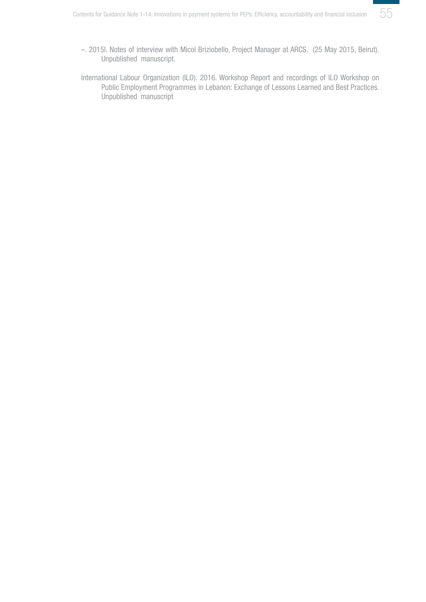

- –. 2015l. Notes of interview with Micol Briziobello, Project Manager at ARCS. (25 May 2015, Beirut). Unpublished manuscript.
- International Labour Organization (ILO). 2016. Workshop Report and recordings of ILO Workshop on Public Employment Programmes in Lebanon: Exchange of Lessons Learned and Best Practices. Unpublished manuscript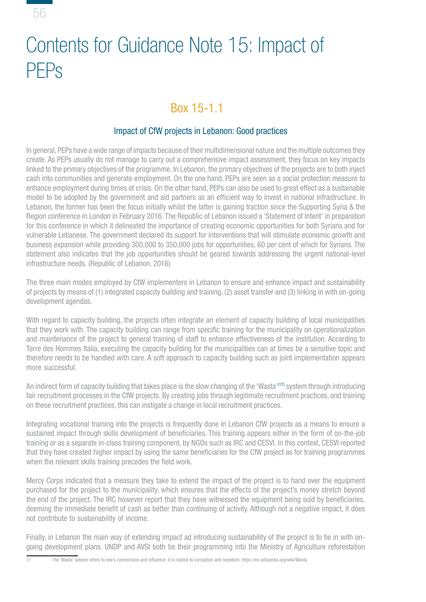<span id="page-55-0"></span>

# Contents for Guidance Note 15: Impact of PEPs

# Box 15-1.1

## Impact of CfW projects in Lebanon: Good practices

In general, PEPs have a wide range of impacts because of their multidimensional nature and the multiple outcomes they create. As PEPs usually do not manage to carry out a comprehensive impact assessment, they focus on key impacts linked to the primary objectives of the programme. In Lebanon, the primary objectives of the projects are to both inject cash into communities and generate employment. On the one hand, PEPs are seen as a social protection measure to enhance employment during times of crisis. On the other hand, PEPs can also be used to great effect as a sustainable model to be adopted by the government and aid partners as an efficient way to invest in national infrastructure. In Lebanon, the former has been the focus initially whilst the latter is gaining traction since the Supporting Syria & the Region conference in London in February 2016. The Republic of Lebanon issued a 'Statement of Intent' in preparation for this conference in which it delineated the importance of creating economic opportunities for both Syrians and for vulnerable Lebanese. The government declared its support for interventions that will stimulate economic growth and business expansion while providing 300,000 to 350,000 jobs for opportunities, 60 per cent of which for Syrians. The statement also indicates that the job opportunities should be geared towards addressing the urgent national-level infrastructure needs. (Republic of Lebanon, 2016)

The three main modes employed by CfW implementers in Lebanon to ensure and enhance impact and sustainability of projects by means of (1) integrated capacity building and training, (2) asset transfer and (3) linking in with on-going development agendas.

With regard to capacity building, the projects often integrate an element of capacity building of local municipalities that they work with. The capacity building can range from specific training for the municipality on operationalization and maintenance of the project to general training of staff to enhance effectiveness of the institution. According to Terre des Hommes Italia, executing the capacity building for the municipalities can at times be a sensitive topic and therefore needs to be handled with care. A soft approach to capacity building such as joint implementation appears more successful.

An indirect form of capacity building that takes place is the slow changing of the 'Wasta'<sup>(17)</sup> system through introducing fair recruitment processes in the CfW projects. By creating jobs through legitimate recruitment practices, and training on these recruitment practices, this can instigate a change in local recruitment practices.

Integrating vocational training into the projects is frequently done in Lebanon CfW projects as a means to ensure a sustained impact through skills development of beneficiaries. This training appears either in the form of on-the-job training or as a separate in-class training component, by NGOs such as IRC and CESVI. In this context, CESVI reported that they have created higher impact by using the same beneficiaries for the CfW project as for training programmes when the relevant skills training precedes the field work.

Mercy Corps indicated that a measure they take to extend the impact of the project is to hand over the equipment purchased for the project to the municipality, which ensures that the effects of the project's money stretch beyond the end of the project. The IRC however report that they have witnessed the equipment being sold by beneficiaries, deeming the immediate benefit of cash as better than continuing of activity. Although not a negative impact, it does not contribute to sustainability of income.

Finally, in Lebanon the main way of extending impact ad introducing sustainability of the project is to tie in with ongoing development plans. UNDP and AVSI both tie their programming into the Ministry of Agriculture reforestation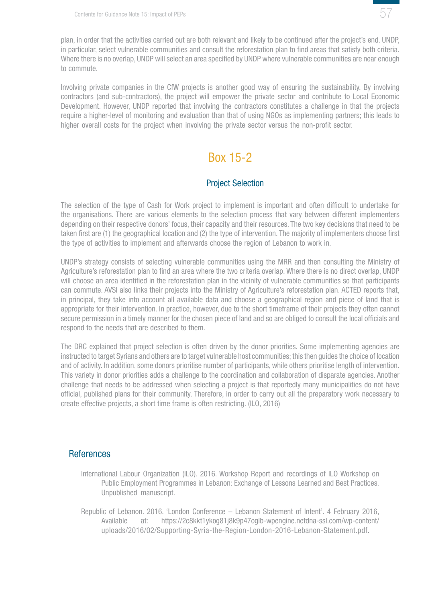

<span id="page-56-0"></span>plan, in order that the activities carried out are both relevant and likely to be continued after the project's end. UNDP, in particular, select vulnerable communities and consult the reforestation plan to find areas that satisfy both criteria. Where there is no overlap, UNDP will select an area specified by UNDP where vulnerable communities are near enough to commute.

Involving private companies in the CfW projects is another good way of ensuring the sustainability. By involving contractors (and sub-contractors), the project will empower the private sector and contribute to Local Economic Development. However, UNDP reported that involving the contractors constitutes a challenge in that the projects require a higher-level of monitoring and evaluation than that of using NGOs as implementing partners; this leads to higher overall costs for the project when involving the private sector versus the non-profit sector.

# Box 15-2

## Project Selection

The selection of the type of Cash for Work project to implement is important and often difficult to undertake for the organisations. There are various elements to the selection process that vary between different implementers depending on their respective donors' focus, their capacity and their resources. The two key decisions that need to be taken first are (1) the geographical location and (2) the type of intervention. The majority of implementers choose first the type of activities to implement and afterwards choose the region of Lebanon to work in.

UNDP's strategy consists of selecting vulnerable communities using the MRR and then consulting the Ministry of Agriculture's reforestation plan to find an area where the two criteria overlap. Where there is no direct overlap, UNDP will choose an area identified in the reforestation plan in the vicinity of vulnerable communities so that participants can commute. AVSI also links their projects into the Ministry of Agriculture's reforestation plan. ACTED reports that, in principal, they take into account all available data and choose a geographical region and piece of land that is appropriate for their intervention. In practice, however, due to the short timeframe of their projects they often cannot secure permission in a timely manner for the chosen piece of land and so are obliged to consult the local officials and respond to the needs that are described to them.

The DRC explained that project selection is often driven by the donor priorities. Some implementing agencies are instructed to target Syrians and others are to target vulnerable host communities; this then guides the choice of location and of activity. In addition, some donors prioritise number of participants, while others prioritise length of intervention. This variety in donor priorities adds a challenge to the coordination and collaboration of disparate agencies. Another challenge that needs to be addressed when selecting a project is that reportedly many municipalities do not have official, published plans for their community. Therefore, in order to carry out all the preparatory work necessary to create effective projects, a short time frame is often restricting. (ILO, 2016)

#### **References**

- International Labour Organization (ILO). 2016. Workshop Report and recordings of ILO Workshop on Public Employment Programmes in Lebanon: Exchange of Lessons Learned and Best Practices. Unpublished manuscript.
- Republic of Lebanon. 2016. 'London Conference Lebanon Statement of Intent'. 4 February 2016, Available at: https://2c8kkt1ykog81j8k9p47oglb-wpengine.netdna-ssl.com/wp-content/ uploads/2016/02/Supporting-Syria-the-Region-London-2016-Lebanon-Statement.pdf.